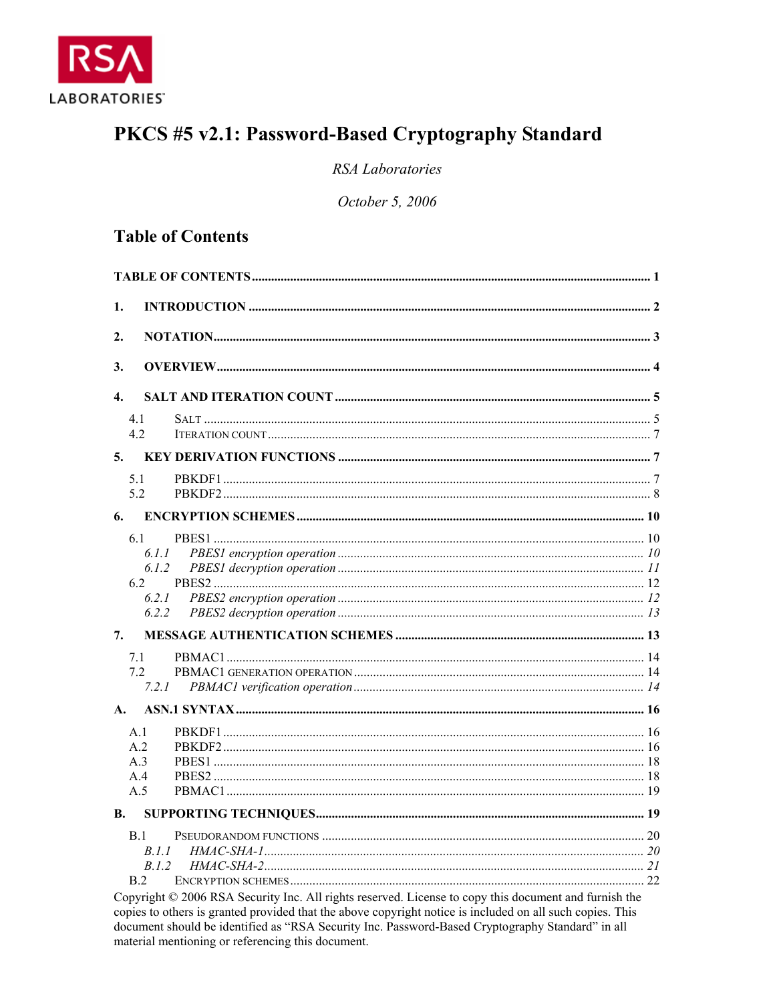

# PKCS #5 v2.1: Password-Based Cryptography Standard

**RSA** Laboratories

October 5, 2006

# **Table of Contents**

| 1.                                                                                                                                          |  |
|---------------------------------------------------------------------------------------------------------------------------------------------|--|
| 2.                                                                                                                                          |  |
| 3.                                                                                                                                          |  |
| $\overline{4}$ .                                                                                                                            |  |
| 4.1<br>4.2                                                                                                                                  |  |
| 5.                                                                                                                                          |  |
| 5.1<br>5.2                                                                                                                                  |  |
| 6.                                                                                                                                          |  |
| 6.1<br>6.1.1<br>6.1.2<br>6.2<br>6.2.1<br>6.2.2                                                                                              |  |
| 7.                                                                                                                                          |  |
| 7.1<br>72<br>7.2.1                                                                                                                          |  |
| A.                                                                                                                                          |  |
| A.1<br>A <sub>2</sub><br>A <sup>3</sup><br>A.4<br>A.5                                                                                       |  |
| <b>B.</b>                                                                                                                                   |  |
| B.1<br>B.I.I<br>B.1.2<br>B.2<br>Convright $\odot$ 2006 RSA Security Inc. All rights reserved. License to conv this document and furnish the |  |

Copyright © 2006 RSA Security Inc. All rights reserved. License to copy this document and furnish the copies to others is granted provided that the above copyright notice is included on all such copies. This document should be identified as "RSA Security Inc. Password-Based Cryptography Standard" in all material mentioning or referencing this document.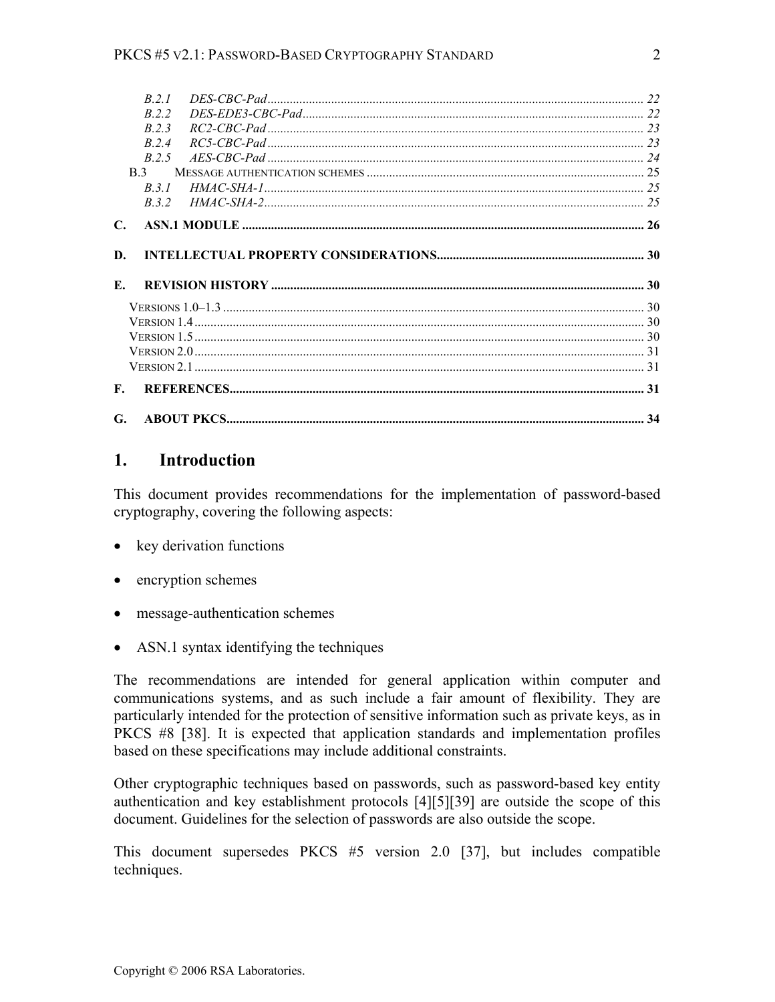|              | R21            |  |
|--------------|----------------|--|
|              | R 2 2          |  |
|              | R 23           |  |
|              | R 24           |  |
|              | R 2.5          |  |
|              | B <sub>3</sub> |  |
|              | B.3.1          |  |
|              | B.3.2          |  |
| $\mathbf{C}$ |                |  |
|              |                |  |
|              |                |  |
| D.           |                |  |
| Е.           |                |  |
|              |                |  |
|              |                |  |
|              |                |  |
|              |                |  |
|              |                |  |
| F.           |                |  |

# **1. Introduction**

This document provides recommendations for the implementation of password-based cryptography, covering the following aspects:

- key derivation functions
- encryption schemes
- message-authentication schemes
- ASN.1 syntax identifying the techniques

The recommendations are intended for general application within computer and communications systems, and as such include a fair amount of flexibility. They are particularly intended for the protection of sensitive information such as private keys, as in PKCS #8 [38]. It is expected that application standards and implementation profiles based on these specifications may include additional constraints.

Other cryptographic techniques based on passwords, such as password-based key entity authentication and key establishment protocols [4][5][39] are outside the scope of this document. Guidelines for the selection of passwords are also outside the scope.

This document supersedes PKCS #5 version 2.0 [37], but includes compatible techniques.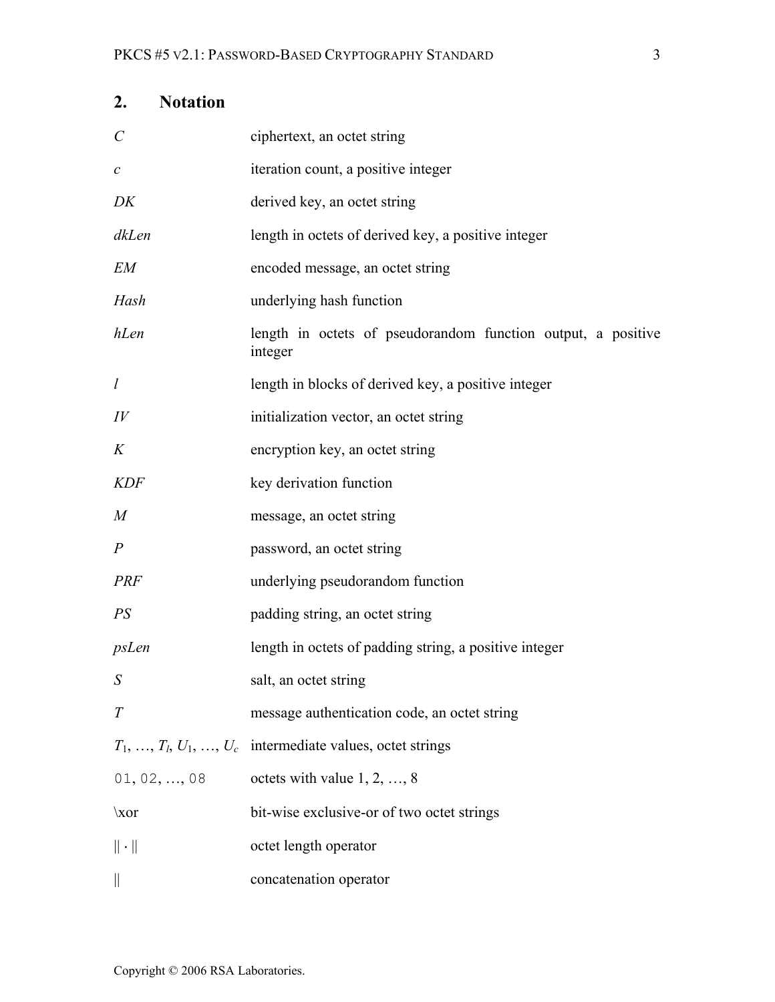| <b>Notation</b><br>2.   |                                                                         |
|-------------------------|-------------------------------------------------------------------------|
| $\mathcal{C}_{0}^{(n)}$ | ciphertext, an octet string                                             |
| $\mathcal C$            | iteration count, a positive integer                                     |
| DK                      | derived key, an octet string                                            |
| dkLen                   | length in octets of derived key, a positive integer                     |
| <b>EM</b>               | encoded message, an octet string                                        |
| Hash                    | underlying hash function                                                |
| hLen                    | length in octets of pseudorandom function output, a positive<br>integer |
| $\iota$                 | length in blocks of derived key, a positive integer                     |
| $I\hspace{-.1em}V$      | initialization vector, an octet string                                  |
| K                       | encryption key, an octet string                                         |
| <b>KDF</b>              | key derivation function                                                 |
| M                       | message, an octet string                                                |
| $\overline{P}$          | password, an octet string                                               |
| <b>PRF</b>              | underlying pseudorandom function                                        |
| PS                      | padding string, an octet string                                         |
| psLen                   | length in octets of padding string, a positive integer                  |
| S                       | salt, an octet string                                                   |
| T                       | message authentication code, an octet string                            |
|                         | $T_1, \ldots, T_l, U_1, \ldots, U_c$ intermediate values, octet strings |
| 01, 02, , 08            | octets with value $1, 2, , 8$                                           |
| $\chi$ or               | bit-wise exclusive-or of two octet strings                              |
| $\ \cdot\ $             | octet length operator                                                   |
|                         | concatenation operator                                                  |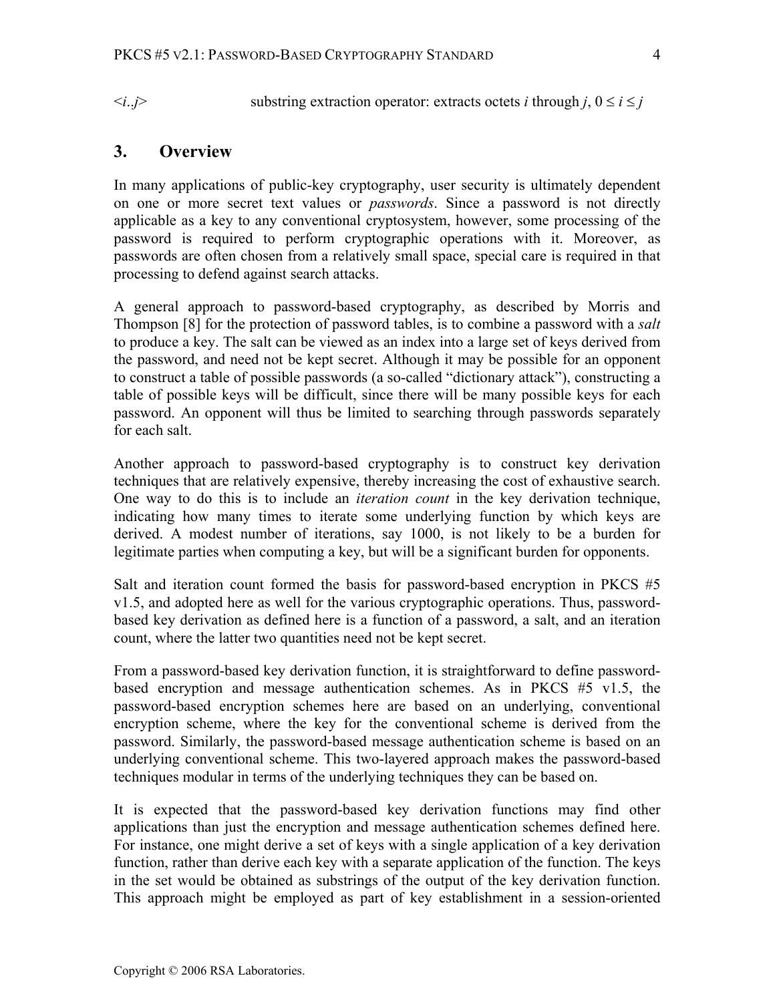$\langle i,j \rangle$  substring extraction operator: extracts octets *i* through *j*,  $0 \le i \le j$ 

# **3. Overview**

In many applications of public-key cryptography, user security is ultimately dependent on one or more secret text values or *passwords*. Since a password is not directly applicable as a key to any conventional cryptosystem, however, some processing of the password is required to perform cryptographic operations with it. Moreover, as passwords are often chosen from a relatively small space, special care is required in that processing to defend against search attacks.

A general approach to password-based cryptography, as described by Morris and Thompson [8] for the protection of password tables, is to combine a password with a *salt*  to produce a key. The salt can be viewed as an index into a large set of keys derived from the password, and need not be kept secret. Although it may be possible for an opponent to construct a table of possible passwords (a so-called "dictionary attack"), constructing a table of possible keys will be difficult, since there will be many possible keys for each password. An opponent will thus be limited to searching through passwords separately for each salt.

Another approach to password-based cryptography is to construct key derivation techniques that are relatively expensive, thereby increasing the cost of exhaustive search. One way to do this is to include an *iteration count* in the key derivation technique, indicating how many times to iterate some underlying function by which keys are derived. A modest number of iterations, say 1000, is not likely to be a burden for legitimate parties when computing a key, but will be a significant burden for opponents.

Salt and iteration count formed the basis for password-based encryption in PKCS #5 v1.5, and adopted here as well for the various cryptographic operations. Thus, passwordbased key derivation as defined here is a function of a password, a salt, and an iteration count, where the latter two quantities need not be kept secret.

From a password-based key derivation function, it is straightforward to define passwordbased encryption and message authentication schemes. As in PKCS #5 v1.5, the password-based encryption schemes here are based on an underlying, conventional encryption scheme, where the key for the conventional scheme is derived from the password. Similarly, the password-based message authentication scheme is based on an underlying conventional scheme. This two-layered approach makes the password-based techniques modular in terms of the underlying techniques they can be based on.

It is expected that the password-based key derivation functions may find other applications than just the encryption and message authentication schemes defined here. For instance, one might derive a set of keys with a single application of a key derivation function, rather than derive each key with a separate application of the function. The keys in the set would be obtained as substrings of the output of the key derivation function. This approach might be employed as part of key establishment in a session-oriented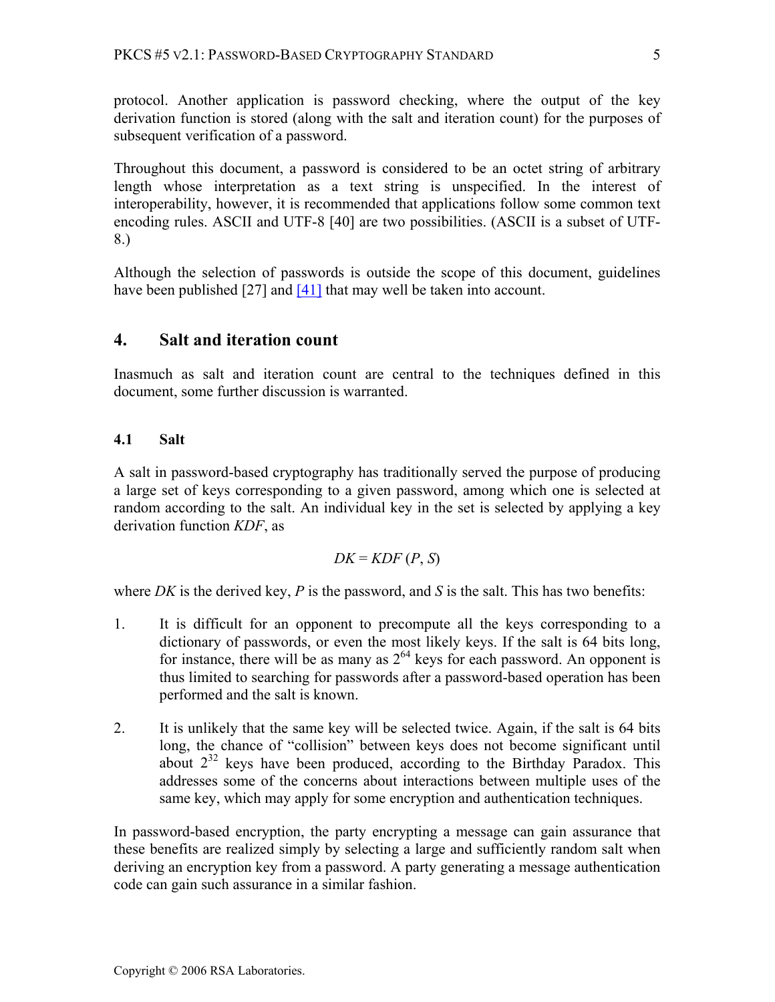protocol. Another application is password checking, where the output of the key derivation function is stored (along with the salt and iteration count) for the purposes of subsequent verification of a password.

Throughout this document, a password is considered to be an octet string of arbitrary length whose interpretation as a text string is unspecified. In the interest of interoperability, however, it is recommended that applications follow some common text encoding rules. ASCII and UTF-8 [40] are two possibilities. (ASCII is a subset of UTF-8.)

Although the selection of passwords is outside the scope of this document, guidelines have been published [27] and [41] that may well be taken into account.

# **4. Salt and iteration count**

Inasmuch as salt and iteration count are central to the techniques defined in this document, some further discussion is warranted.

# **4.1 Salt**

A salt in password-based cryptography has traditionally served the purpose of producing a large set of keys corresponding to a given password, among which one is selected at random according to the salt. An individual key in the set is selected by applying a key derivation function *KDF*, as

$$
DK = KDF(P, S)
$$

where *DK* is the derived key,  $P$  is the password, and  $S$  is the salt. This has two benefits:

- 1. It is difficult for an opponent to precompute all the keys corresponding to a dictionary of passwords, or even the most likely keys. If the salt is 64 bits long, for instance, there will be as many as  $2^{64}$  keys for each password. An opponent is thus limited to searching for passwords after a password-based operation has been performed and the salt is known.
- 2. It is unlikely that the same key will be selected twice. Again, if the salt is 64 bits long, the chance of "collision" between keys does not become significant until about  $2^{32}$  keys have been produced, according to the Birthday Paradox. This addresses some of the concerns about interactions between multiple uses of the same key, which may apply for some encryption and authentication techniques.

In password-based encryption, the party encrypting a message can gain assurance that these benefits are realized simply by selecting a large and sufficiently random salt when deriving an encryption key from a password. A party generating a message authentication code can gain such assurance in a similar fashion.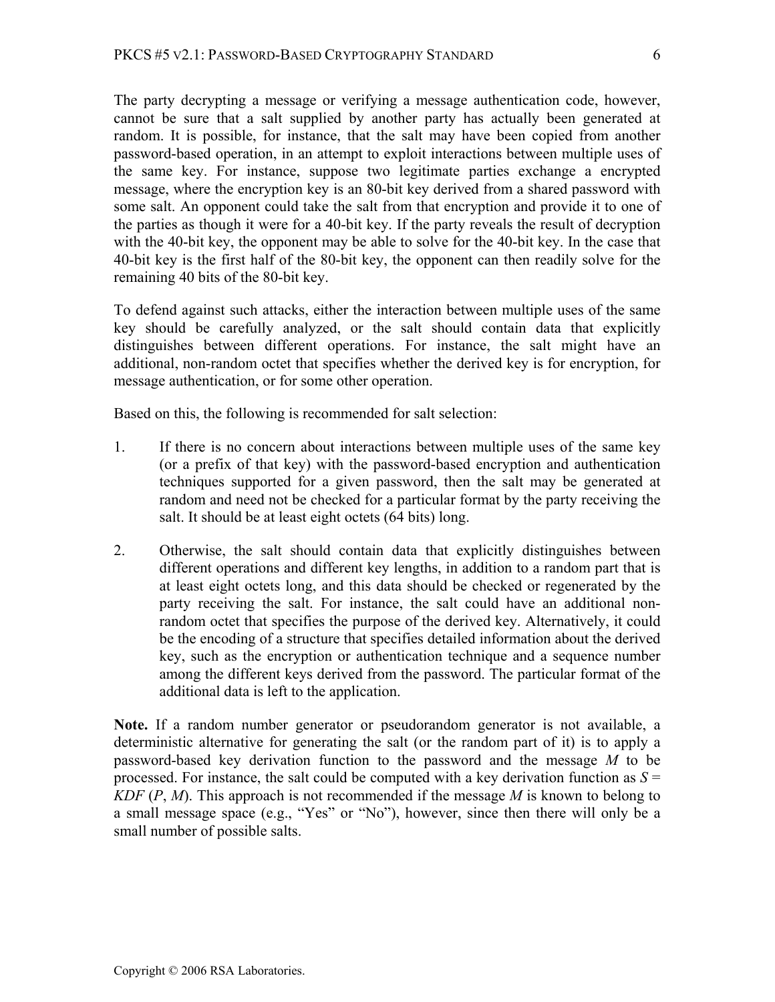The party decrypting a message or verifying a message authentication code, however, cannot be sure that a salt supplied by another party has actually been generated at random. It is possible, for instance, that the salt may have been copied from another password-based operation, in an attempt to exploit interactions between multiple uses of the same key. For instance, suppose two legitimate parties exchange a encrypted message, where the encryption key is an 80-bit key derived from a shared password with some salt. An opponent could take the salt from that encryption and provide it to one of the parties as though it were for a 40-bit key. If the party reveals the result of decryption with the 40-bit key, the opponent may be able to solve for the 40-bit key. In the case that 40-bit key is the first half of the 80-bit key, the opponent can then readily solve for the remaining 40 bits of the 80-bit key.

To defend against such attacks, either the interaction between multiple uses of the same key should be carefully analyzed, or the salt should contain data that explicitly distinguishes between different operations. For instance, the salt might have an additional, non-random octet that specifies whether the derived key is for encryption, for message authentication, or for some other operation.

Based on this, the following is recommended for salt selection:

- 1. If there is no concern about interactions between multiple uses of the same key (or a prefix of that key) with the password-based encryption and authentication techniques supported for a given password, then the salt may be generated at random and need not be checked for a particular format by the party receiving the salt. It should be at least eight octets (64 bits) long.
- 2. Otherwise, the salt should contain data that explicitly distinguishes between different operations and different key lengths, in addition to a random part that is at least eight octets long, and this data should be checked or regenerated by the party receiving the salt. For instance, the salt could have an additional nonrandom octet that specifies the purpose of the derived key. Alternatively, it could be the encoding of a structure that specifies detailed information about the derived key, such as the encryption or authentication technique and a sequence number among the different keys derived from the password. The particular format of the additional data is left to the application.

**Note.** If a random number generator or pseudorandom generator is not available, a deterministic alternative for generating the salt (or the random part of it) is to apply a password-based key derivation function to the password and the message *M* to be processed. For instance, the salt could be computed with a key derivation function as  $S =$ *KDF* (*P*, *M*). This approach is not recommended if the message *M* is known to belong to a small message space (e.g., "Yes" or "No"), however, since then there will only be a small number of possible salts.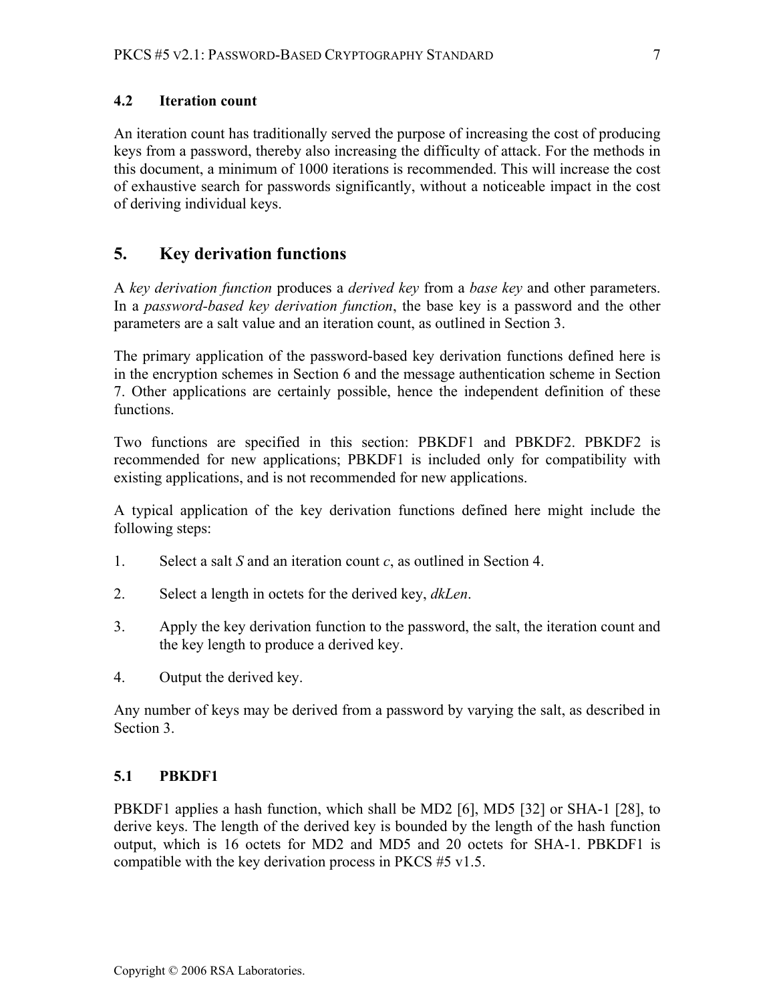### **4.2 Iteration count**

An iteration count has traditionally served the purpose of increasing the cost of producing keys from a password, thereby also increasing the difficulty of attack. For the methods in this document, a minimum of 1000 iterations is recommended. This will increase the cost of exhaustive search for passwords significantly, without a noticeable impact in the cost of deriving individual keys.

# **5. Key derivation functions**

A *key derivation function* produces a *derived key* from a *base key* and other parameters. In a *password-based key derivation function*, the base key is a password and the other parameters are a salt value and an iteration count, as outlined in Section 3.

The primary application of the password-based key derivation functions defined here is in the encryption schemes in Section 6 and the message authentication scheme in Section 7. Other applications are certainly possible, hence the independent definition of these functions.

Two functions are specified in this section: PBKDF1 and PBKDF2. PBKDF2 is recommended for new applications; PBKDF1 is included only for compatibility with existing applications, and is not recommended for new applications.

A typical application of the key derivation functions defined here might include the following steps:

- 1. Select a salt *S* and an iteration count *c*, as outlined in Section 4.
- 2. Select a length in octets for the derived key, *dkLen*.
- 3. Apply the key derivation function to the password, the salt, the iteration count and the key length to produce a derived key.
- 4. Output the derived key.

Any number of keys may be derived from a password by varying the salt, as described in Section 3.

### **5.1 PBKDF1**

PBKDF1 applies a hash function, which shall be MD2 [6], MD5 [32] or SHA-1 [28], to derive keys. The length of the derived key is bounded by the length of the hash function output, which is 16 octets for MD2 and MD5 and 20 octets for SHA-1. PBKDF1 is compatible with the key derivation process in PKCS #5 v1.5.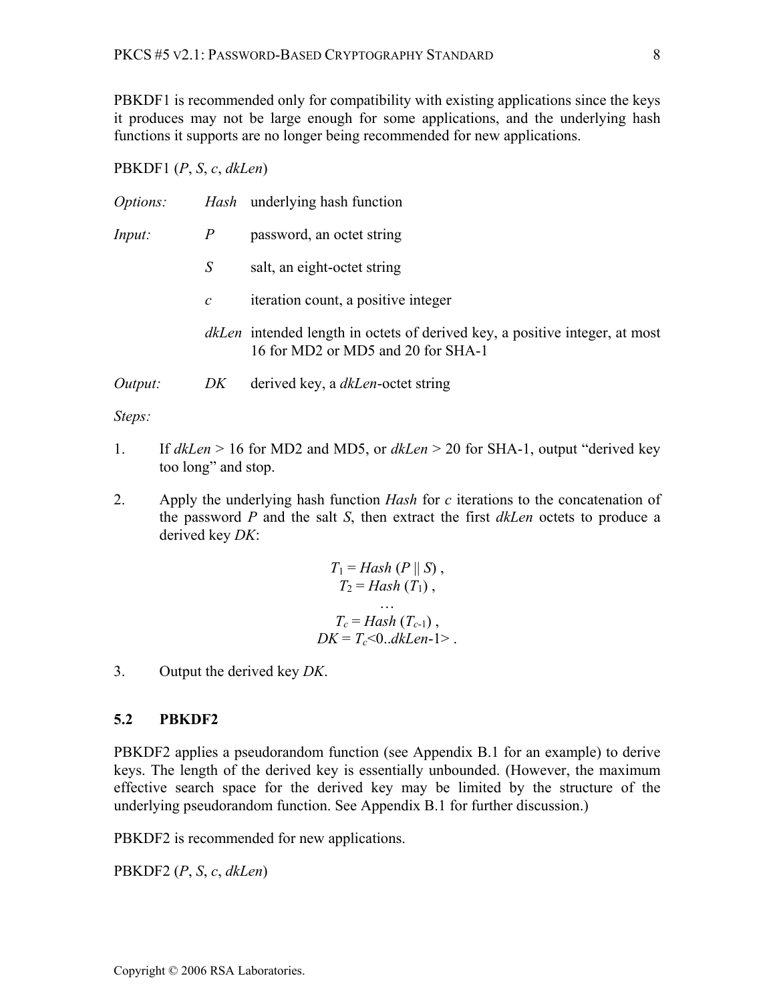PBKDF1 is recommended only for compatibility with existing applications since the keys it produces may not be large enough for some applications, and the underlying hash functions it supports are no longer being recommended for new applications.

#### PBKDF1 (*P*, *S*, *c*, *dkLen*)

| <i>Options:</i> |                | <i>Hash</i> underlying hash function                                                                                     |
|-----------------|----------------|--------------------------------------------------------------------------------------------------------------------------|
| Input:          | $\overline{P}$ | password, an octet string                                                                                                |
|                 | S              | salt, an eight-octet string                                                                                              |
|                 | $\mathcal C$   | iteration count, a positive integer                                                                                      |
|                 |                | <i>dkLen</i> intended length in octets of derived key, a positive integer, at most<br>16 for MD2 or MD5 and 20 for SHA-1 |
| Output:         | DK             | derived key, a <i>dkLen</i> -octet string                                                                                |

*Steps:* 

- 1. If *dkLen* > 16 for MD2 and MD5, or *dkLen* > 20 for SHA-1, output "derived key too long" and stop.
- 2. Apply the underlying hash function *Hash* for *c* iterations to the concatenation of the password *P* and the salt *S*, then extract the first *dkLen* octets to produce a derived key *DK*:

$$
T_1 = Hash (P || S),
$$
  
\n
$$
T_2 = Hash (T_1),
$$
  
\n...  
\n
$$
T_c = Hash (T_{c-1}),
$$
  
\n
$$
DK = T_c < 0..dkLen-1>.
$$

3. Output the derived key *DK*.

#### **5.2 PBKDF2**

PBKDF2 applies a pseudorandom function (see Appendix B.1 for an example) to derive keys. The length of the derived key is essentially unbounded. (However, the maximum effective search space for the derived key may be limited by the structure of the underlying pseudorandom function. See Appendix B.1 for further discussion.)

PBKDF2 is recommended for new applications.

PBKDF2 (*P*, *S*, *c*, *dkLen*)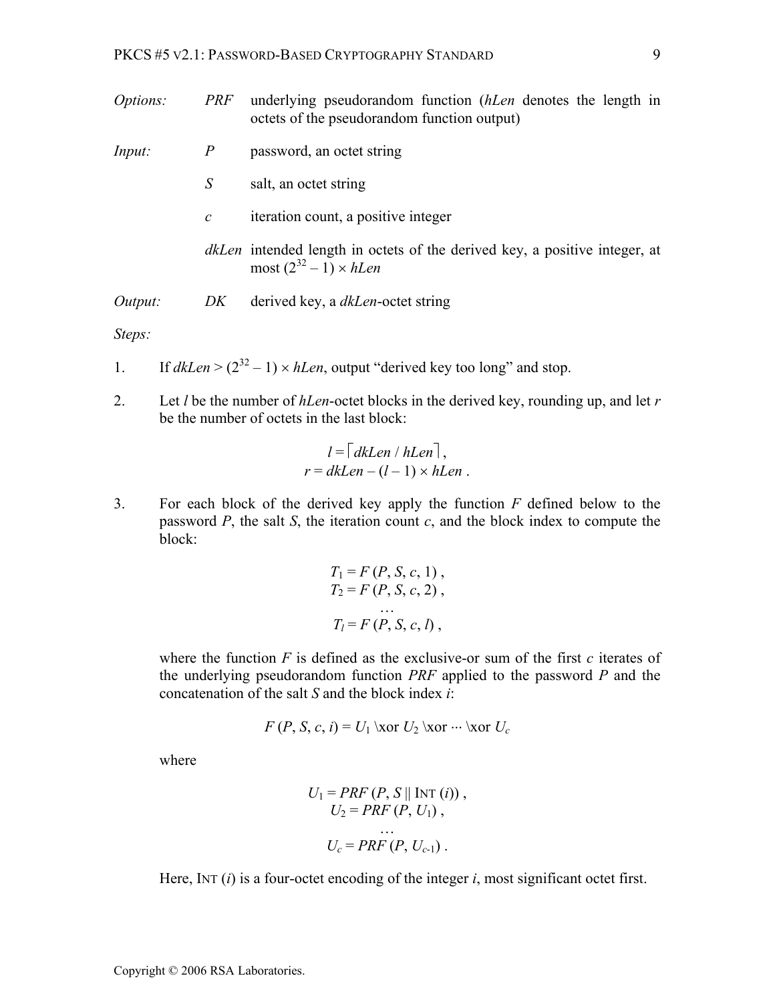| <i>Options:</i> | PRF            | underlying pseudorandom function <i>(hLen</i> denotes the length in<br>octets of the pseudorandom function output)   |
|-----------------|----------------|----------------------------------------------------------------------------------------------------------------------|
| <i>Input:</i>   | $\overline{P}$ | password, an octet string                                                                                            |
|                 | S              | salt, an octet string                                                                                                |
|                 | $\mathcal{C}$  | iteration count, a positive integer                                                                                  |
|                 |                | <i>dkLen</i> intended length in octets of the derived key, a positive integer, at<br>most $(2^{32} – 1) \times hLen$ |
| Output:         | DK             | derived key, a <i>dkLen</i> -octet string                                                                            |

*Steps:* 

1. If 
$$
dkLen > (2^{32} - 1) \times hLen
$$
, output "derived key too long" and stop.

2. Let *l* be the number of *hLen*-octet blocks in the derived key, rounding up, and let *r* be the number of octets in the last block:

$$
l = |dkLen / hLen |,
$$
  

$$
r = dkLen - (l - 1) \times hLen .
$$

3. For each block of the derived key apply the function *F* defined below to the password  $P$ , the salt  $S$ , the iteration count  $c$ , and the block index to compute the block:

$$
T_1 = F(P, S, c, 1),
$$
  
\n
$$
T_2 = F(P, S, c, 2),
$$
  
\n...  
\n
$$
T_l = F(P, S, c, l),
$$

where the function  $F$  is defined as the exclusive-or sum of the first  $c$  iterates of the underlying pseudorandom function *PRF* applied to the password *P* and the concatenation of the salt *S* and the block index *i*:

$$
F(P, S, c, i) = U_1 \text{ for } U_2 \text{ for } \dots \text{ for } U_c
$$

where

$$
U_1 = PRF (P, S || \text{INT } (i)),
$$
  
\n
$$
U_2 = PRF (P, U_1),
$$
  
\n...  
\n
$$
U_c = PRF (P, U_{c-1}).
$$

Here, INT (*i*) is a four-octet encoding of the integer *i*, most significant octet first.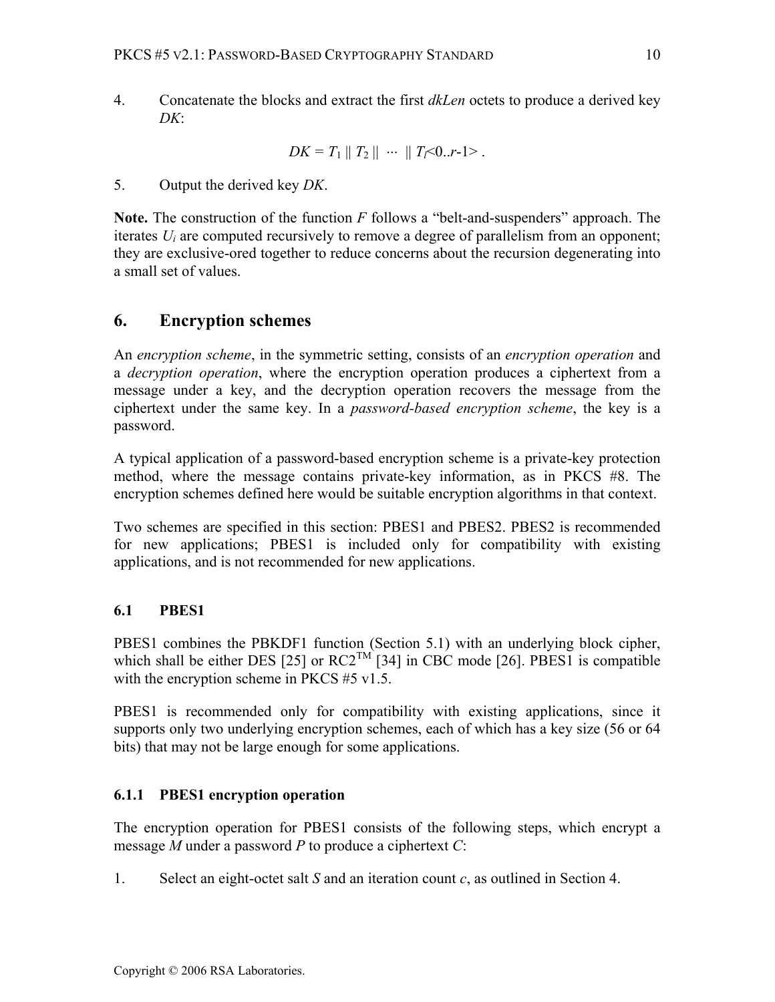4. Concatenate the blocks and extract the first *dkLen* octets to produce a derived key *DK*:

$$
DK = T_1 || T_2 || \cdots || T_f < 0..r-1>.
$$

5. Output the derived key *DK*.

**Note.** The construction of the function *F* follows a "belt-and-suspenders" approach. The iterates *Ui* are computed recursively to remove a degree of parallelism from an opponent; they are exclusive-ored together to reduce concerns about the recursion degenerating into a small set of values.

# **6. Encryption schemes**

An *encryption scheme*, in the symmetric setting, consists of an *encryption operation* and a *decryption operation*, where the encryption operation produces a ciphertext from a message under a key, and the decryption operation recovers the message from the ciphertext under the same key. In a *password-based encryption scheme*, the key is a password.

A typical application of a password-based encryption scheme is a private-key protection method, where the message contains private-key information, as in PKCS #8. The encryption schemes defined here would be suitable encryption algorithms in that context.

Two schemes are specified in this section: PBES1 and PBES2. PBES2 is recommended for new applications; PBES1 is included only for compatibility with existing applications, and is not recommended for new applications.

# **6.1 PBES1**

PBES1 combines the PBKDF1 function (Section 5.1) with an underlying block cipher, which shall be either DES [25] or  $RC2^{TM}$  [34] in CBC mode [26]. PBES1 is compatible with the encryption scheme in PKCS #5 v1.5.

PBES1 is recommended only for compatibility with existing applications, since it supports only two underlying encryption schemes, each of which has a key size (56 or 64 bits) that may not be large enough for some applications.

# **6.1.1 PBES1 encryption operation**

The encryption operation for PBES1 consists of the following steps, which encrypt a message *M* under a password *P* to produce a ciphertext *C*:

1. Select an eight-octet salt *S* and an iteration count *c*, as outlined in Section 4.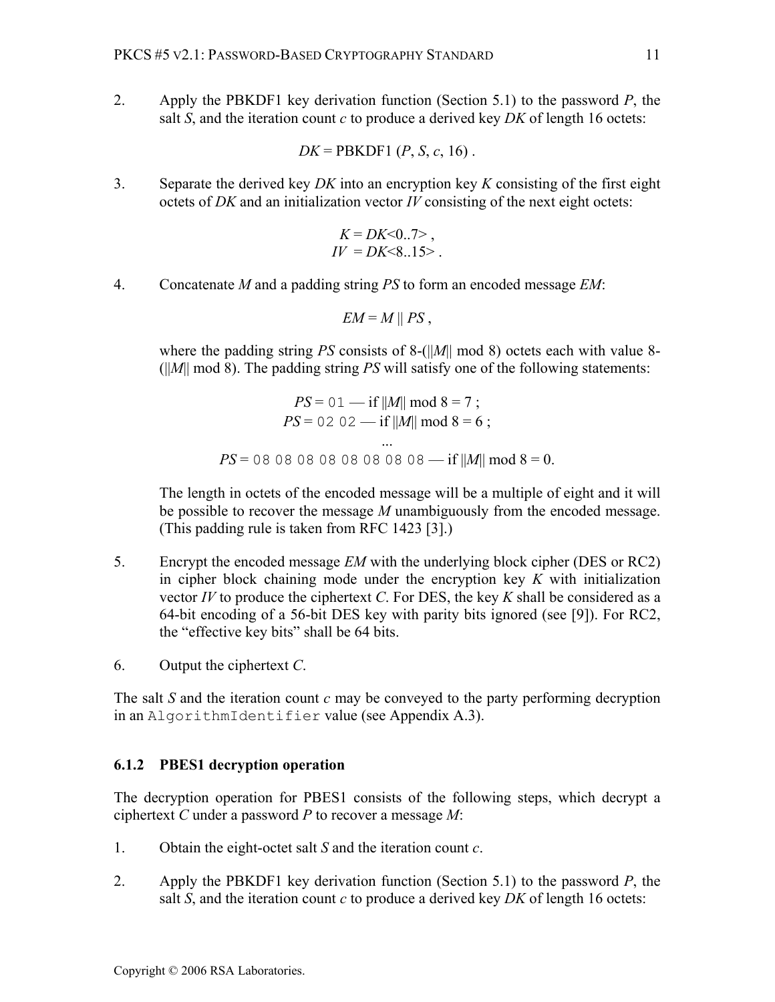2. Apply the PBKDF1 key derivation function (Section 5.1) to the password *P*, the salt *S*, and the iteration count *c* to produce a derived key *DK* of length 16 octets:

$$
DK = PBKDF1 (P, S, c, 16)
$$
.

3. Separate the derived key *DK* into an encryption key *K* consisting of the first eight octets of *DK* and an initialization vector *IV* consisting of the next eight octets:

$$
K = DK < 0.7 > , \\
 IV = DK < 8.15 > .
$$

4. Concatenate *M* and a padding string *PS* to form an encoded message *EM*:

$$
EM = M \parallel PS
$$
,

where the padding string *PS* consists of 8-(||*M*|| mod 8) octets each with value 8- (||*M*|| mod 8). The padding string *PS* will satisfy one of the following statements:

$$
PS = 01 - \text{if } ||M|| \mod 8 = 7 ;
$$
  
\n
$$
PS = 02 \ 02 - \text{if } ||M|| \mod 8 = 6 ;
$$
  
\n...  
\n
$$
PS = 08 \ 08 \ 08 \ 08 \ 08 \ 08 \ 08 \ 08 - \text{if } ||M|| \mod 8 = 0.
$$

The length in octets of the encoded message will be a multiple of eight and it will be possible to recover the message *M* unambiguously from the encoded message. (This padding rule is taken from RFC 1423 [3].)

- 5. Encrypt the encoded message *EM* with the underlying block cipher (DES or RC2) in cipher block chaining mode under the encryption key *K* with initialization vector *IV* to produce the ciphertext *C*. For DES, the key *K* shall be considered as a 64-bit encoding of a 56-bit DES key with parity bits ignored (see [9]). For RC2, the "effective key bits" shall be 64 bits.
- 6. Output the ciphertext *C*.

The salt *S* and the iteration count *c* may be conveyed to the party performing decryption in an AlgorithmIdentifier value (see Appendix A.3).

#### **6.1.2 PBES1 decryption operation**

The decryption operation for PBES1 consists of the following steps, which decrypt a ciphertext *C* under a password *P* to recover a message *M*:

- 1. Obtain the eight-octet salt *S* and the iteration count *c*.
- 2. Apply the PBKDF1 key derivation function (Section 5.1) to the password *P*, the salt *S*, and the iteration count *c* to produce a derived key *DK* of length 16 octets: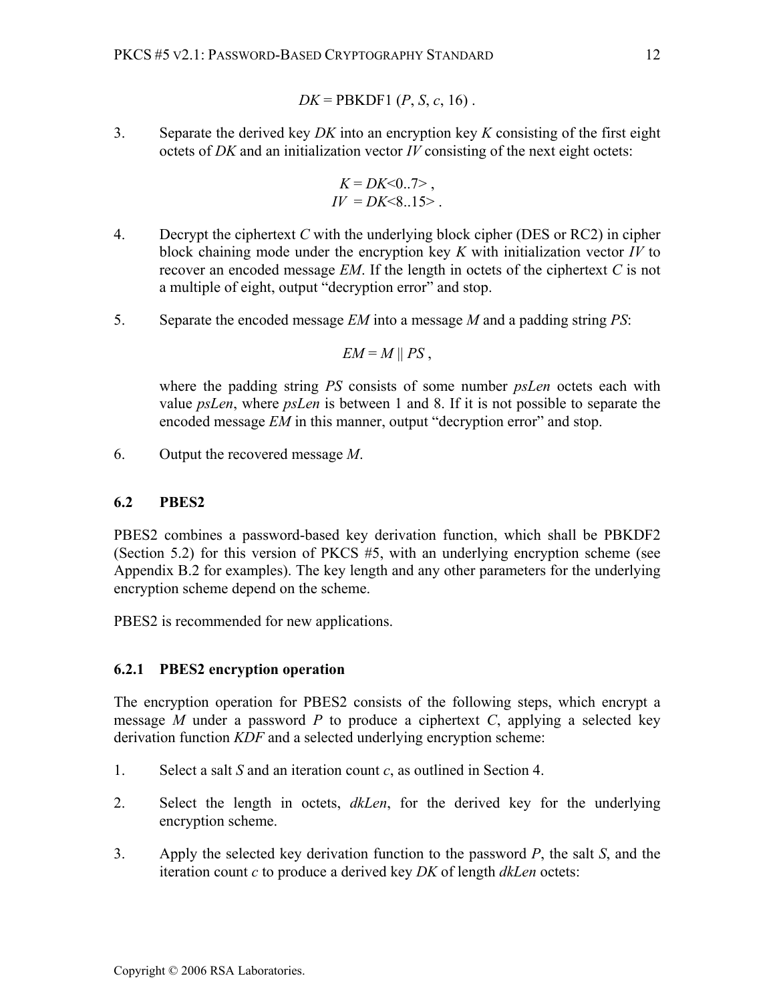$$
DK = PBKDF1 (P, S, c, 16).
$$

3. Separate the derived key *DK* into an encryption key *K* consisting of the first eight octets of *DK* and an initialization vector *IV* consisting of the next eight octets:

$$
K = DK < 0.7 > , \\
 IV = DK < 8.15 > .
$$

- 4. Decrypt the ciphertext *C* with the underlying block cipher (DES or RC2) in cipher block chaining mode under the encryption key *K* with initialization vector *IV* to recover an encoded message *EM*. If the length in octets of the ciphertext *C* is not a multiple of eight, output "decryption error" and stop.
- 5. Separate the encoded message *EM* into a message *M* and a padding string *PS*:

$$
EM = M \parallel PS,
$$

 where the padding string *PS* consists of some number *psLen* octets each with value *psLen*, where *psLen* is between 1 and 8. If it is not possible to separate the encoded message *EM* in this manner, output "decryption error" and stop.

6. Output the recovered message *M*.

### **6.2 PBES2**

PBES2 combines a password-based key derivation function, which shall be PBKDF2 (Section 5.2) for this version of PKCS #5, with an underlying encryption scheme (see Appendix B.2 for examples). The key length and any other parameters for the underlying encryption scheme depend on the scheme.

PBES2 is recommended for new applications.

# **6.2.1 PBES2 encryption operation**

The encryption operation for PBES2 consists of the following steps, which encrypt a message *M* under a password *P* to produce a ciphertext *C*, applying a selected key derivation function *KDF* and a selected underlying encryption scheme:

- 1. Select a salt *S* and an iteration count *c*, as outlined in Section 4.
- 2. Select the length in octets, *dkLen*, for the derived key for the underlying encryption scheme.
- 3. Apply the selected key derivation function to the password *P*, the salt *S*, and the iteration count *c* to produce a derived key *DK* of length *dkLen* octets: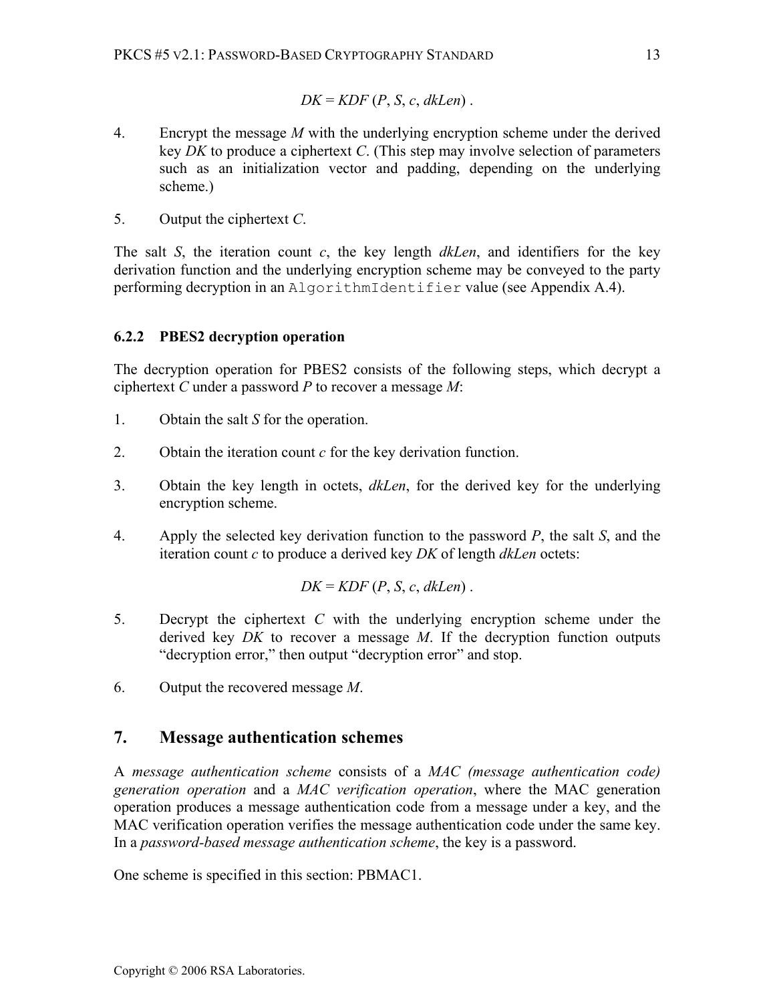$$
DK = KDF(P, S, c, dkLen).
$$

- 4. Encrypt the message *M* with the underlying encryption scheme under the derived key *DK* to produce a ciphertext *C*. (This step may involve selection of parameters such as an initialization vector and padding, depending on the underlying scheme.)
- 5. Output the ciphertext *C*.

The salt *S*, the iteration count *c*, the key length *dkLen*, and identifiers for the key derivation function and the underlying encryption scheme may be conveyed to the party performing decryption in an AlgorithmIdentifier value (see Appendix A.4).

### **6.2.2 PBES2 decryption operation**

The decryption operation for PBES2 consists of the following steps, which decrypt a ciphertext *C* under a password *P* to recover a message *M*:

- 1. Obtain the salt *S* for the operation.
- 2. Obtain the iteration count *c* for the key derivation function.
- 3. Obtain the key length in octets, *dkLen*, for the derived key for the underlying encryption scheme.
- 4. Apply the selected key derivation function to the password *P*, the salt *S*, and the iteration count *c* to produce a derived key *DK* of length *dkLen* octets:

$$
DK = KDF(P, S, c, dkLen).
$$

- 5. Decrypt the ciphertext *C* with the underlying encryption scheme under the derived key *DK* to recover a message *M*. If the decryption function outputs "decryption error," then output "decryption error" and stop.
- 6. Output the recovered message *M*.

# **7. Message authentication schemes**

A *message authentication scheme* consists of a *MAC (message authentication code) generation operation* and a *MAC verification operation*, where the MAC generation operation produces a message authentication code from a message under a key, and the MAC verification operation verifies the message authentication code under the same key. In a *password-based message authentication scheme*, the key is a password.

One scheme is specified in this section: PBMAC1.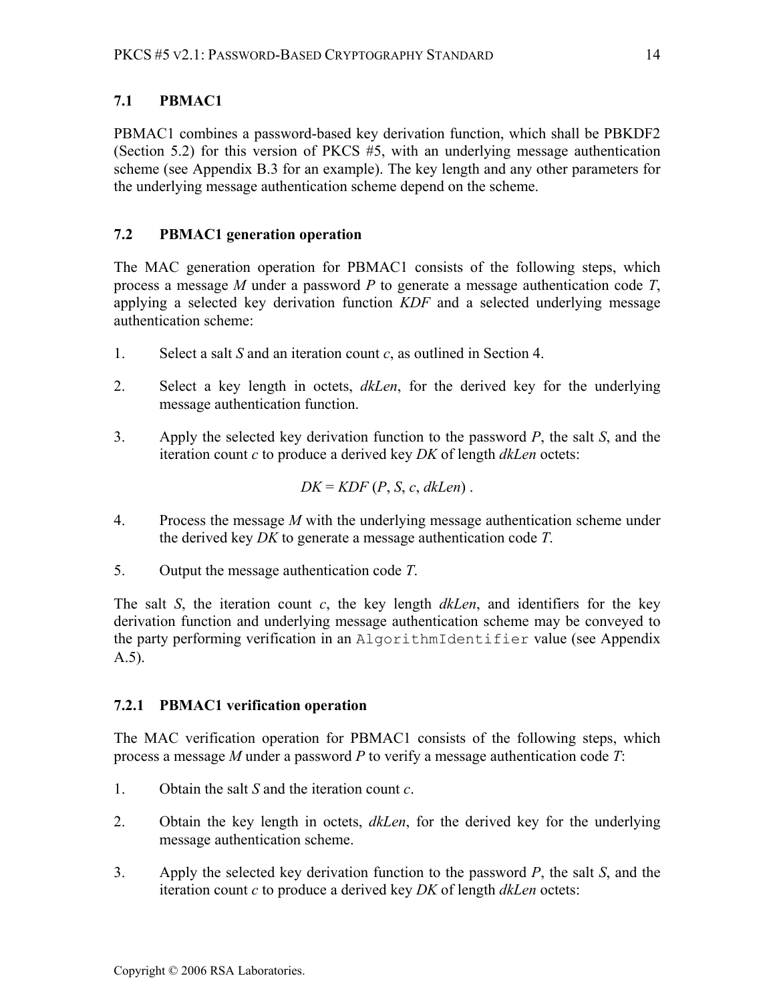# **7.1 PBMAC1**

PBMAC1 combines a password-based key derivation function, which shall be PBKDF2 (Section 5.2) for this version of PKCS #5, with an underlying message authentication scheme (see Appendix B.3 for an example). The key length and any other parameters for the underlying message authentication scheme depend on the scheme.

# **7.2 PBMAC1 generation operation**

The MAC generation operation for PBMAC1 consists of the following steps, which process a message *M* under a password *P* to generate a message authentication code *T*, applying a selected key derivation function *KDF* and a selected underlying message authentication scheme:

- 1. Select a salt *S* and an iteration count *c*, as outlined in Section 4.
- 2. Select a key length in octets, *dkLen*, for the derived key for the underlying message authentication function.
- 3. Apply the selected key derivation function to the password *P*, the salt *S*, and the iteration count *c* to produce a derived key *DK* of length *dkLen* octets:

$$
DK = KDF(P, S, c, dkLen).
$$

- 4. Process the message *M* with the underlying message authentication scheme under the derived key *DK* to generate a message authentication code *T*.
- 5. Output the message authentication code *T*.

The salt *S*, the iteration count *c*, the key length *dkLen*, and identifiers for the key derivation function and underlying message authentication scheme may be conveyed to the party performing verification in an AlgorithmIdentifier value (see Appendix A.5).

# **7.2.1 PBMAC1 verification operation**

The MAC verification operation for PBMAC1 consists of the following steps, which process a message *M* under a password *P* to verify a message authentication code *T*:

- 1. Obtain the salt *S* and the iteration count *c*.
- 2. Obtain the key length in octets, *dkLen*, for the derived key for the underlying message authentication scheme.
- 3. Apply the selected key derivation function to the password *P*, the salt *S*, and the iteration count *c* to produce a derived key *DK* of length *dkLen* octets: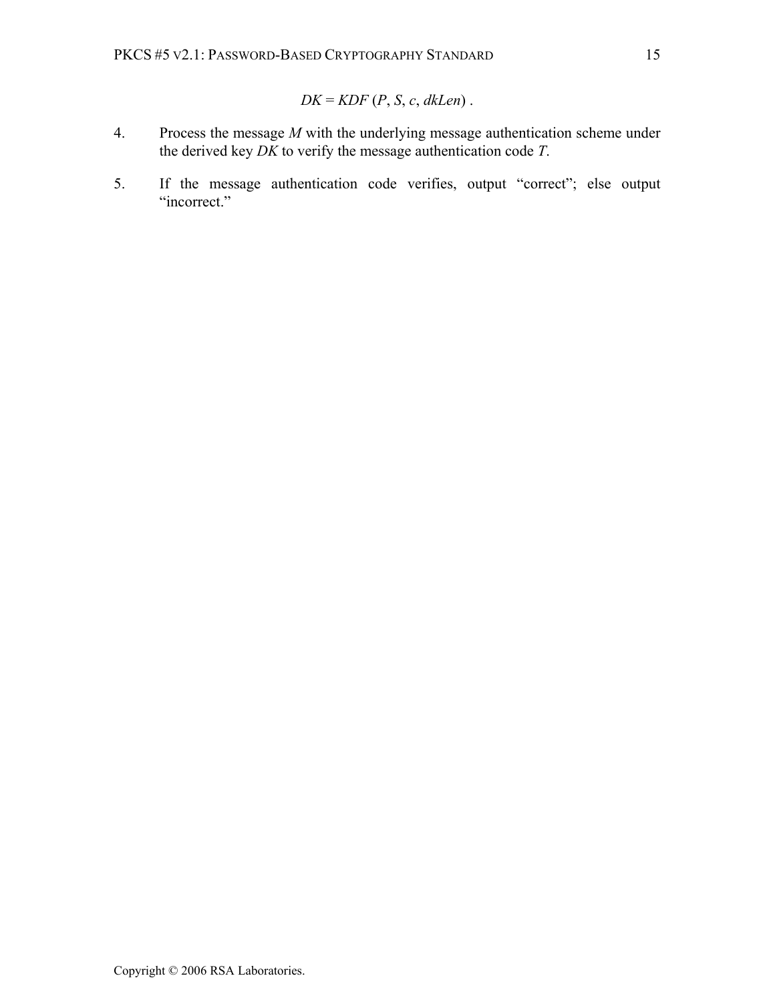$$
DK = KDF(P, S, c, dkLen).
$$

- 4. Process the message *M* with the underlying message authentication scheme under the derived key *DK* to verify the message authentication code *T*.
- 5. If the message authentication code verifies, output "correct"; else output "incorrect."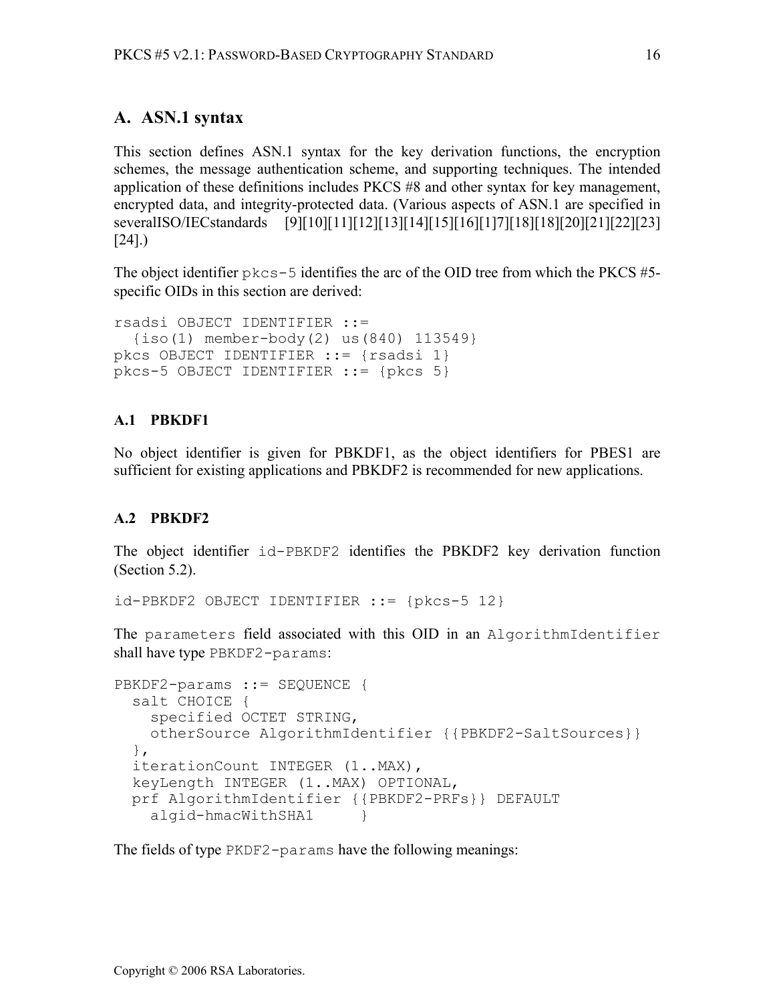# **A. ASN.1 syntax**

This section defines ASN.1 syntax for the key derivation functions, the encryption schemes, the message authentication scheme, and supporting techniques. The intended application of these definitions includes PKCS #8 and other syntax for key management, encrypted data, and integrity-protected data. (Various aspects of ASN.1 are specified in severalISO/IECstandards [9][10][11][12][13][14][15][16][1]7][18][18][20][21][22][23] [24].)

The object identifier  $p \&c s - 5$  identifies the arc of the OID tree from which the PKCS #5specific OIDs in this section are derived:

```
rsadsi OBJECT IDENTIFIER ::= 
   {iso(1) member-body(2) us(840) 113549} 
pkcs OBJECT IDENTIFIER ::= {rsadsi 1} 
pkcs-5 OBJECT IDENTIFIER ::= {pkcs 5}
```
### **A.1 PBKDF1**

No object identifier is given for PBKDF1, as the object identifiers for PBES1 are sufficient for existing applications and PBKDF2 is recommended for new applications.

#### **A.2 PBKDF2**

The object identifier id-PBKDF2 identifies the PBKDF2 key derivation function (Section 5.2).

```
id-PBKDF2 OBJECT IDENTIFIER ::= {pkcs-5 12}
```
The parameters field associated with this OID in an AlgorithmIdentifier shall have type PBKDF2-params:

```
PBKDF2-params ::= SEQUENCE { 
   salt CHOICE { 
     specified OCTET STRING, 
     otherSource AlgorithmIdentifier {{PBKDF2-SaltSources}} 
   }, 
   iterationCount INTEGER (1..MAX), 
   keyLength INTEGER (1..MAX) OPTIONAL, 
   prf AlgorithmIdentifier {{PBKDF2-PRFs}} DEFAULT 
    algid-hmacWithSHA1 }
```
The fields of type PKDF2-params have the following meanings: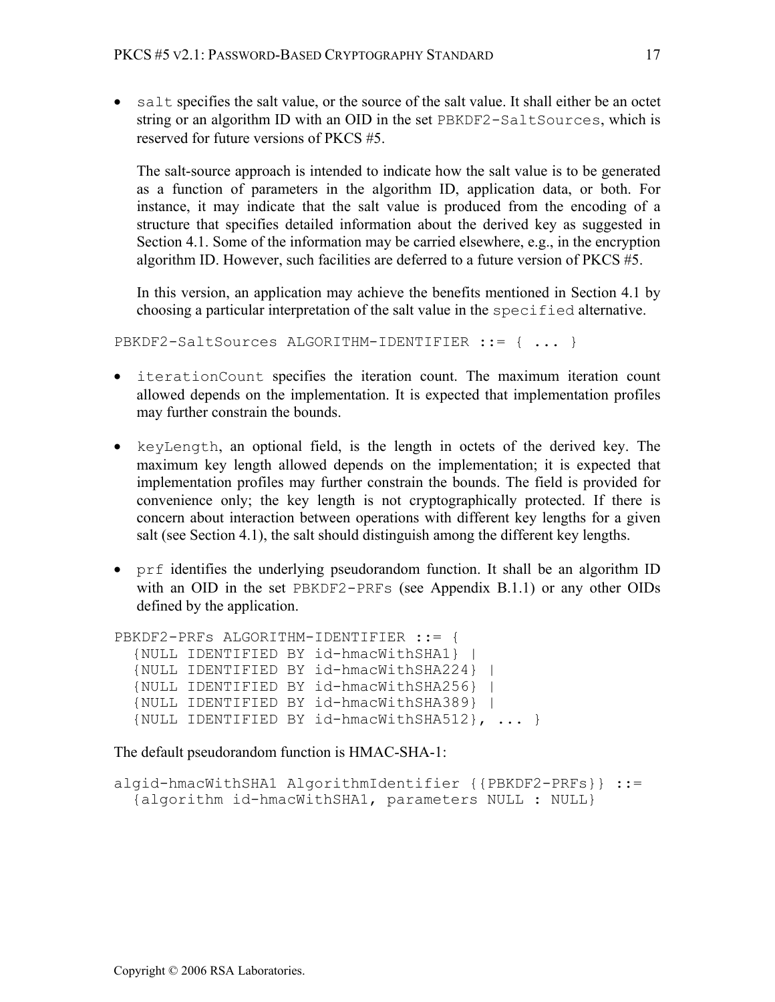• salt specifies the salt value, or the source of the salt value. It shall either be an octet string or an algorithm ID with an OID in the set PBKDF2-SaltSources, which is reserved for future versions of PKCS #5.

The salt-source approach is intended to indicate how the salt value is to be generated as a function of parameters in the algorithm ID, application data, or both. For instance, it may indicate that the salt value is produced from the encoding of a structure that specifies detailed information about the derived key as suggested in Section 4.1. Some of the information may be carried elsewhere, e.g., in the encryption algorithm ID. However, such facilities are deferred to a future version of PKCS #5.

In this version, an application may achieve the benefits mentioned in Section 4.1 by choosing a particular interpretation of the salt value in the specified alternative.

PBKDF2-SaltSources ALGORITHM-IDENTIFIER ::= { ... }

- iterationCount specifies the iteration count. The maximum iteration count allowed depends on the implementation. It is expected that implementation profiles may further constrain the bounds.
- keyLength, an optional field, is the length in octets of the derived key. The maximum key length allowed depends on the implementation; it is expected that implementation profiles may further constrain the bounds. The field is provided for convenience only; the key length is not cryptographically protected. If there is concern about interaction between operations with different key lengths for a given salt (see Section 4.1), the salt should distinguish among the different key lengths.
- prf identifies the underlying pseudorandom function. It shall be an algorithm ID with an OID in the set PBKDF2-PRFs (see Appendix B.1.1) or any other OIDs defined by the application.

```
PBKDF2-PRFs ALGORITHM-IDENTIFIER ::= {
   {NULL IDENTIFIED BY id-hmacWithSHA1} | 
   {NULL IDENTIFIED BY id-hmacWithSHA224} | 
   {NULL IDENTIFIED BY id-hmacWithSHA256} | 
   {NULL IDENTIFIED BY id-hmacWithSHA389} | 
   {NULL IDENTIFIED BY id-hmacWithSHA512}, ... }
```
The default pseudorandom function is HMAC-SHA-1:

```
algid-hmacWithSHA1 AlgorithmIdentifier {{PBKDF2-PRFs}} ::= 
   {algorithm id-hmacWithSHA1, parameters NULL : NULL}
```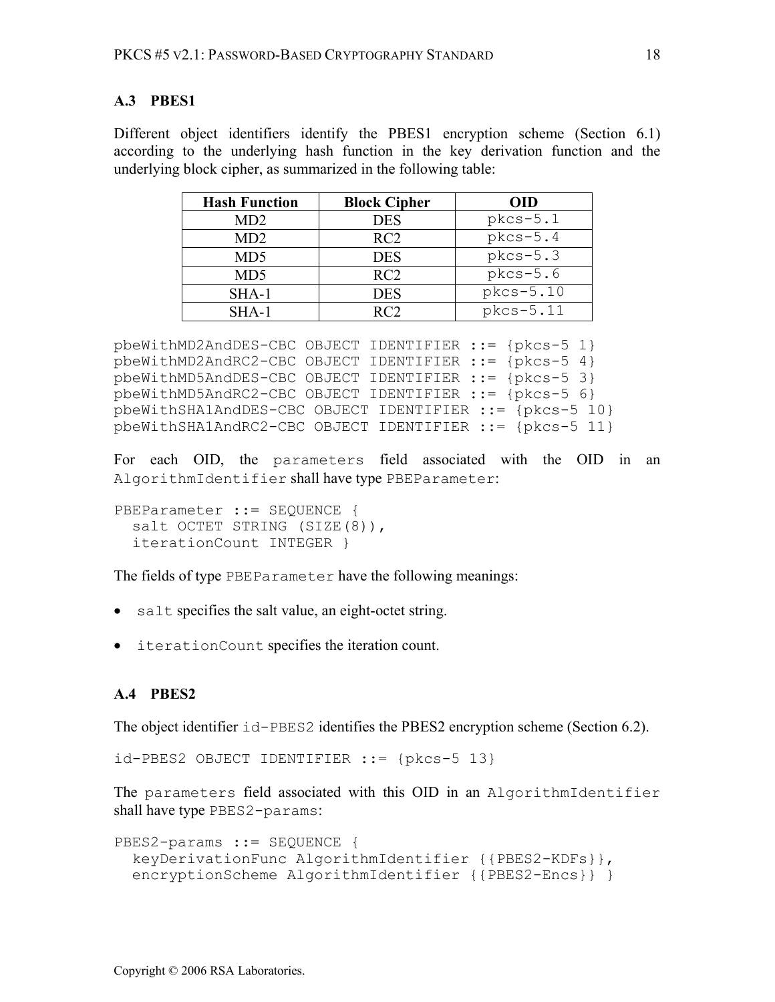#### **A.3 PBES1**

Different object identifiers identify the PBES1 encryption scheme (Section 6.1) according to the underlying hash function in the key derivation function and the underlying block cipher, as summarized in the following table:

| <b>Hash Function</b> | <b>Block Cipher</b> | <b>OID</b> |
|----------------------|---------------------|------------|
| MD <sub>2</sub>      | <b>DES</b>          | $pkcs-5.1$ |
| MD <sub>2</sub>      | RC2                 | $pkcs-5.4$ |
| MD <sub>5</sub>      | <b>DES</b>          | $pkcs-5.3$ |
| MD <sub>5</sub>      | RC2                 | $pkcs-5.6$ |
| SHA-1                | <b>DES</b>          | pkcs-5.10  |
| $SHA-1$              | RC <sub>2</sub>     | pkcs-5.11  |

```
pbeWithMD2AndDES-CBC OBJECT IDENTIFIER ::= {pkcs-5 1} 
pbeWithMD2AndRC2-CBC OBJECT IDENTIFIER ::= {pkcs-5 4} 
pbeWithMD5AndDES-CBC OBJECT IDENTIFIER ::= {pkcs-5 3} 
pbeWithMD5AndRC2-CBC OBJECT IDENTIFIER ::= {pkcs-5 6} 
pbeWithSHA1AndDES-CBC OBJECT IDENTIFIER ::= {pkcs-5 10} 
pbeWithSHA1AndRC2-CBC OBJECT IDENTIFIER ::= {pkcs-5 11}
```
For each OID, the parameters field associated with the OID in an AlgorithmIdentifier shall have type PBEParameter:

PBEParameter ::= SEQUENCE { salt OCTET STRING (SIZE(8)), iterationCount INTEGER }

The fields of type PBEParameter have the following meanings:

- salt specifies the salt value, an eight-octet string.
- iterationCount specifies the iteration count.

### **A.4 PBES2**

The object identifier  $i_d$ –PBES2 identifies the PBES2 encryption scheme (Section 6.2).

```
id-PBES2 OBJECT IDENTIFIER ::= {pkcs-5 13}
```
The parameters field associated with this OID in an AlgorithmIdentifier shall have type PBES2-params:

```
PBES2-params ::= SEQUENCE { 
   keyDerivationFunc AlgorithmIdentifier {{PBES2-KDFs}}, 
   encryptionScheme AlgorithmIdentifier {{PBES2-Encs}} }
```
Copyright © 2006 RSA Laboratories.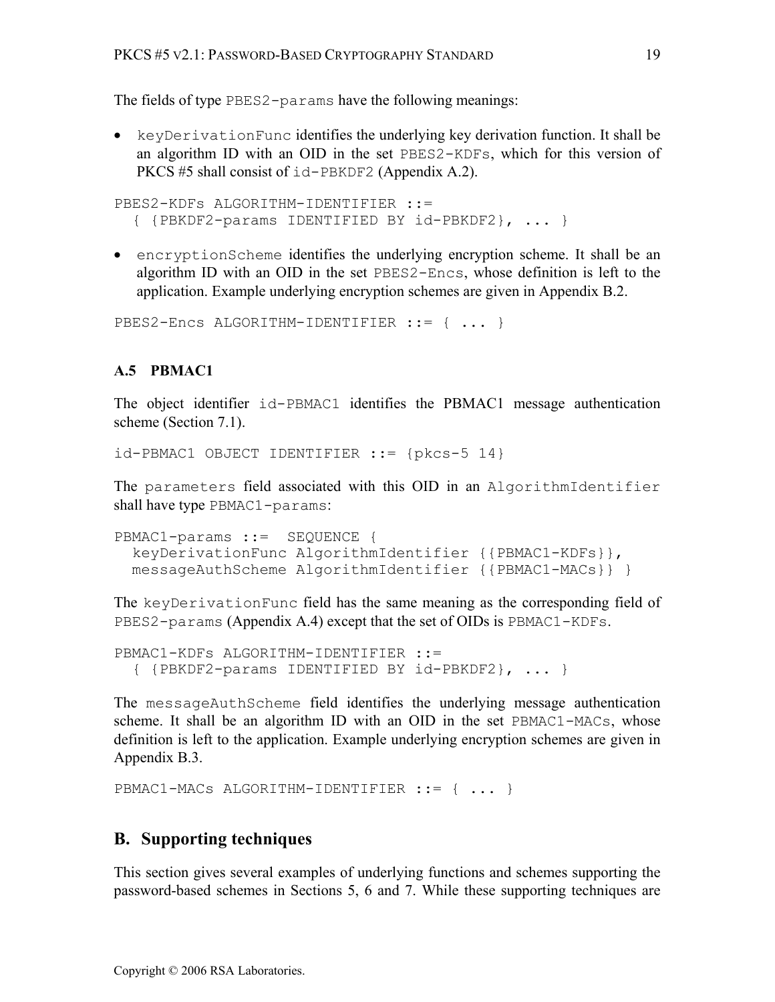The fields of type PBES2-params have the following meanings:

• keyDerivationFunc identifies the underlying key derivation function. It shall be an algorithm ID with an OID in the set PBES2-KDFs, which for this version of PKCS #5 shall consist of id-PBKDF2 (Appendix A.2).

```
PBES2-KDFs ALGORITHM-IDENTIFIER ::= 
   { {PBKDF2-params IDENTIFIED BY id-PBKDF2}, ... }
```
• encryptionScheme identifies the underlying encryption scheme. It shall be an algorithm ID with an OID in the set PBES2-Encs, whose definition is left to the application. Example underlying encryption schemes are given in Appendix B.2.

```
PBES2-Encs ALGORITHM-IDENTIFIER ::= { ... }
```
### **A.5 PBMAC1**

The object identifier id-PBMAC1 identifies the PBMAC1 message authentication scheme (Section 7.1).

```
id-PBMAC1 OBJECT IDENTIFIER ::= {pkcs-5 14}
```
The parameters field associated with this OID in an AlgorithmIdentifier shall have type PBMAC1-params:

```
PBMAC1-params ::= SEQUENCE {
   keyDerivationFunc AlgorithmIdentifier {{PBMAC1-KDFs}}, 
  messageAuthScheme AlgorithmIdentifier {{PBMAC1-MACs}} }
```
The keyDerivationFunc field has the same meaning as the corresponding field of PBES2-params (Appendix A.4) except that the set of OIDs is PBMAC1-KDFs.

```
PBMAC1-KDFs ALGORITHM-IDENTIFIER ::=
   { {PBKDF2-params IDENTIFIED BY id-PBKDF2}, ... }
```
The messageAuthScheme field identifies the underlying message authentication scheme. It shall be an algorithm ID with an OID in the set PBMAC1-MACs, whose definition is left to the application. Example underlying encryption schemes are given in Appendix B.3.

PBMAC1-MACs ALGORITHM-IDENTIFIER ::= { ... }

### **B. Supporting techniques**

This section gives several examples of underlying functions and schemes supporting the password-based schemes in Sections 5, 6 and 7. While these supporting techniques are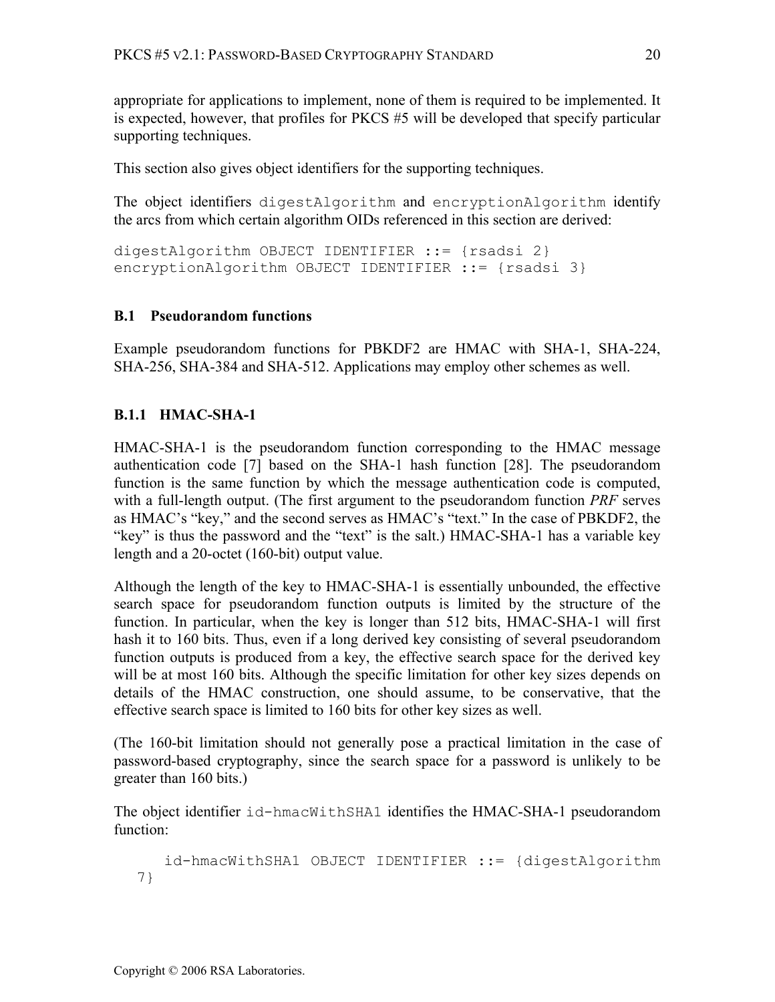appropriate for applications to implement, none of them is required to be implemented. It is expected, however, that profiles for PKCS #5 will be developed that specify particular supporting techniques.

This section also gives object identifiers for the supporting techniques.

The object identifiers digestAlgorithm and encryptionAlgorithm identify the arcs from which certain algorithm OIDs referenced in this section are derived:

digestAlgorithm OBJECT IDENTIFIER ::= {rsadsi 2} encryptionAlgorithm OBJECT IDENTIFIER ::= {rsadsi 3}

# **B.1 Pseudorandom functions**

Example pseudorandom functions for PBKDF2 are HMAC with SHA-1, SHA-224, SHA-256, SHA-384 and SHA-512. Applications may employ other schemes as well.

# **B.1.1 HMAC-SHA-1**

HMAC-SHA-1 is the pseudorandom function corresponding to the HMAC message authentication code [7] based on the SHA-1 hash function [28]. The pseudorandom function is the same function by which the message authentication code is computed, with a full-length output. (The first argument to the pseudorandom function *PRF* serves as HMAC's "key," and the second serves as HMAC's "text." In the case of PBKDF2, the "key" is thus the password and the "text" is the salt.) HMAC-SHA-1 has a variable key length and a 20-octet (160-bit) output value.

Although the length of the key to HMAC-SHA-1 is essentially unbounded, the effective search space for pseudorandom function outputs is limited by the structure of the function. In particular, when the key is longer than 512 bits, HMAC-SHA-1 will first hash it to 160 bits. Thus, even if a long derived key consisting of several pseudorandom function outputs is produced from a key, the effective search space for the derived key will be at most 160 bits. Although the specific limitation for other key sizes depends on details of the HMAC construction, one should assume, to be conservative, that the effective search space is limited to 160 bits for other key sizes as well.

(The 160-bit limitation should not generally pose a practical limitation in the case of password-based cryptography, since the search space for a password is unlikely to be greater than 160 bits.)

The object identifier id-hmacWithSHA1 identifies the HMAC-SHA-1 pseudorandom function:

```
 id-hmacWithSHA1 OBJECT IDENTIFIER ::= {digestAlgorithm 
7}
```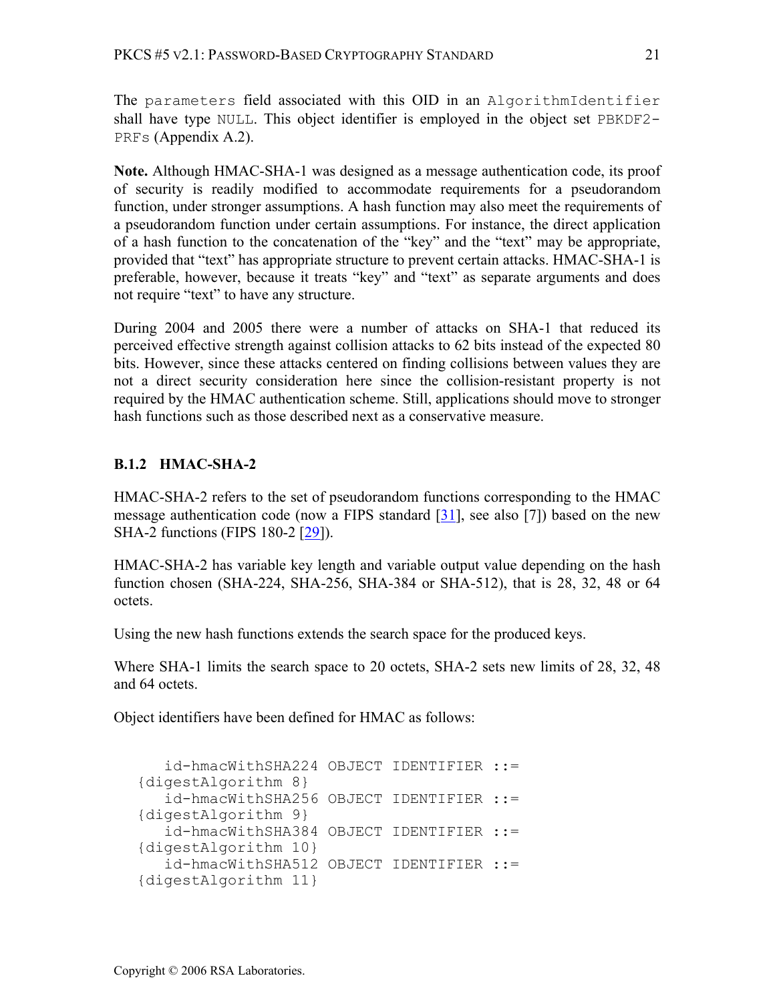The parameters field associated with this OID in an AlgorithmIdentifier shall have type NULL. This object identifier is employed in the object set PBKDF2- PRFs (Appendix A.2).

**Note.** Although HMAC-SHA-1 was designed as a message authentication code, its proof of security is readily modified to accommodate requirements for a pseudorandom function, under stronger assumptions. A hash function may also meet the requirements of a pseudorandom function under certain assumptions. For instance, the direct application of a hash function to the concatenation of the "key" and the "text" may be appropriate, provided that "text" has appropriate structure to prevent certain attacks. HMAC-SHA-1 is preferable, however, because it treats "key" and "text" as separate arguments and does not require "text" to have any structure.

During 2004 and 2005 there were a number of attacks on SHA-1 that reduced its perceived effective strength against collision attacks to 62 bits instead of the expected 80 bits. However, since these attacks centered on finding collisions between values they are not a direct security consideration here since the collision-resistant property is not required by the HMAC authentication scheme. Still, applications should move to stronger hash functions such as those described next as a conservative measure.

# **B.1.2 HMAC-SHA-2**

HMAC-SHA-2 refers to the set of pseudorandom functions corresponding to the HMAC message authentication code (now a FIPS standard  $[31]$ , see also [7]) based on the new SHA-2 functions (FIPS 180-2 [29]).

HMAC-SHA-2 has variable key length and variable output value depending on the hash function chosen (SHA-224, SHA-256, SHA-384 or SHA-512), that is 28, 32, 48 or 64 octets.

Using the new hash functions extends the search space for the produced keys.

Where SHA-1 limits the search space to 20 octets, SHA-2 sets new limits of 28, 32, 48 and 64 octets.

Object identifiers have been defined for HMAC as follows:

```
 id-hmacWithSHA224 OBJECT IDENTIFIER ::= 
{digestAlgorithm 8} 
    id-hmacWithSHA256 OBJECT IDENTIFIER ::= 
{digestAlgorithm 9} 
    id-hmacWithSHA384 OBJECT IDENTIFIER ::= 
{digestAlgorithm 10} 
    id-hmacWithSHA512 OBJECT IDENTIFIER ::= 
{digestAlgorithm 11}
```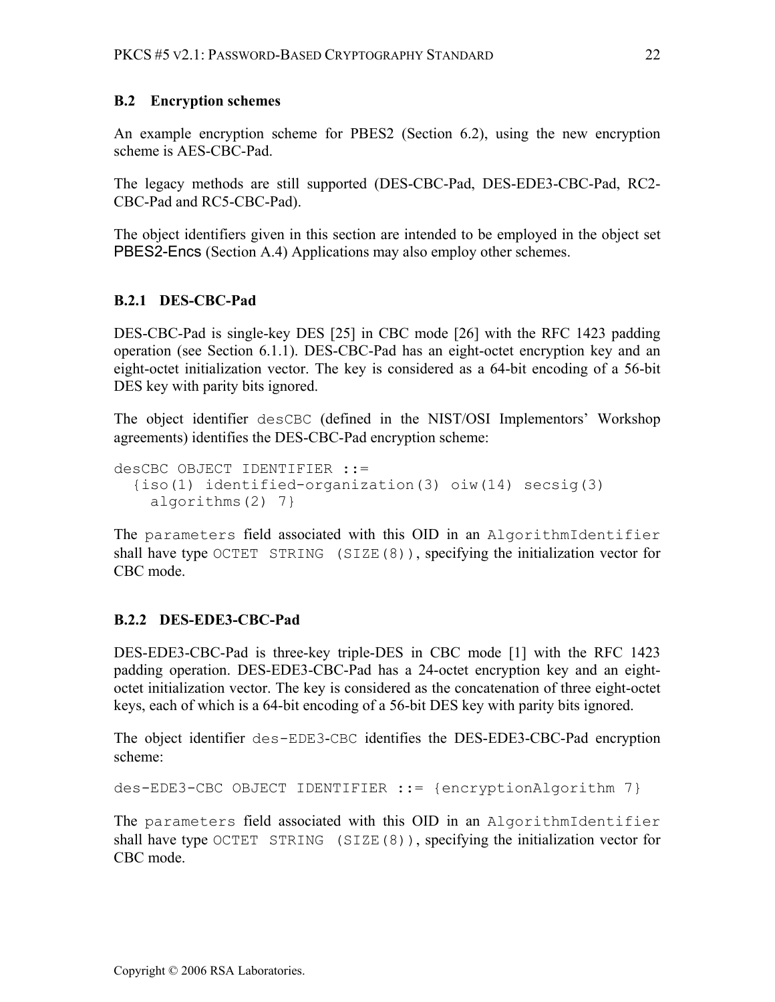#### **B.2 Encryption schemes**

An example encryption scheme for PBES2 (Section 6.2), using the new encryption scheme is AES-CBC-Pad.

The legacy methods are still supported (DES-CBC-Pad, DES-EDE3-CBC-Pad, RC2- CBC-Pad and RC5-CBC-Pad).

The object identifiers given in this section are intended to be employed in the object set PBES2-Encs (Section A.4) Applications may also employ other schemes.

#### **B.2.1 DES-CBC-Pad**

DES-CBC-Pad is single-key DES [25] in CBC mode [26] with the RFC 1423 padding operation (see Section 6.1.1). DES-CBC-Pad has an eight-octet encryption key and an eight-octet initialization vector. The key is considered as a 64-bit encoding of a 56-bit DES key with parity bits ignored.

The object identifier desCBC (defined in the NIST/OSI Implementors' Workshop agreements) identifies the DES-CBC-Pad encryption scheme:

```
desCBC OBJECT IDENTIFIER ::= 
   {iso(1) identified-organization(3) oiw(14) secsig(3) 
     algorithms(2) 7}
```
The parameters field associated with this OID in an AlgorithmIdentifier shall have type OCTET STRING (SIZE(8)), specifying the initialization vector for CBC mode.

### **B.2.2 DES-EDE3-CBC-Pad**

DES-EDE3-CBC-Pad is three-key triple-DES in CBC mode [1] with the RFC 1423 padding operation. DES-EDE3-CBC-Pad has a 24-octet encryption key and an eightoctet initialization vector. The key is considered as the concatenation of three eight-octet keys, each of which is a 64-bit encoding of a 56-bit DES key with parity bits ignored.

The object identifier des-EDE3-CBC identifies the DES-EDE3-CBC-Pad encryption scheme:

des-EDE3-CBC OBJECT IDENTIFIER ::= {encryptionAlgorithm 7}

The parameters field associated with this OID in an AlgorithmIdentifier shall have type OCTET STRING (SIZE(8)), specifying the initialization vector for CBC mode.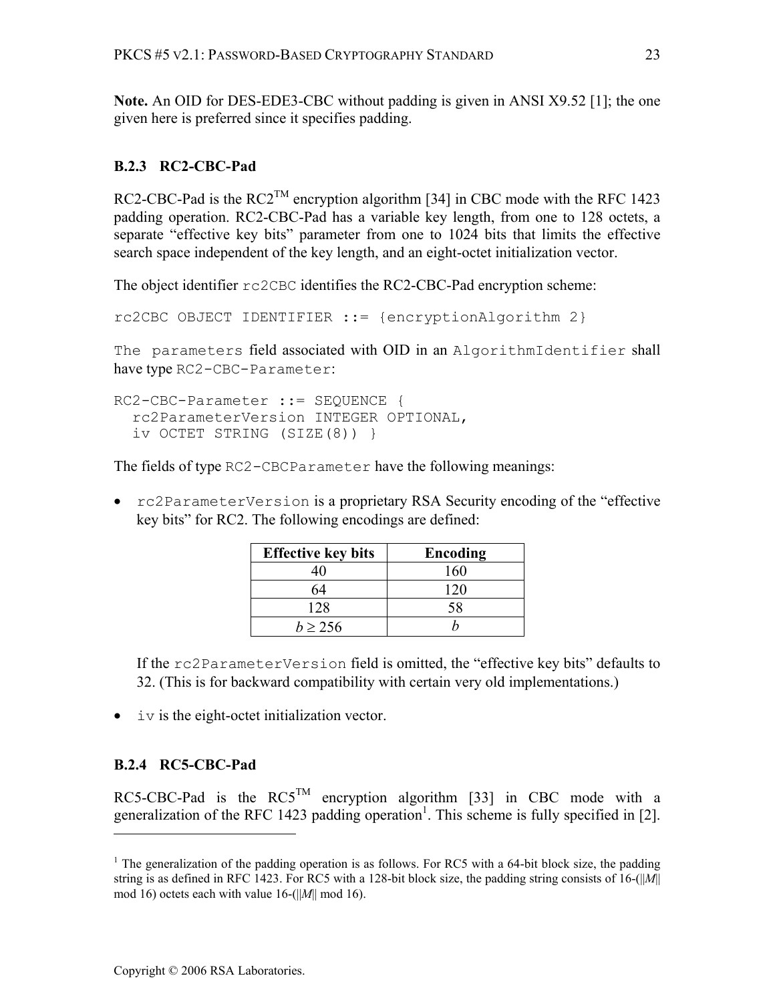**Note.** An OID for DES-EDE3-CBC without padding is given in ANSI X9.52 [1]; the one given here is preferred since it specifies padding.

### **B.2.3 RC2-CBC-Pad**

RC2-CBC-Pad is the  $RC2^{TM}$  encryption algorithm [34] in CBC mode with the RFC 1423 padding operation. RC2-CBC-Pad has a variable key length, from one to 128 octets, a separate "effective key bits" parameter from one to 1024 bits that limits the effective search space independent of the key length, and an eight-octet initialization vector.

The object identifier rc2CBC identifies the RC2-CBC-Pad encryption scheme:

```
rc2CBC OBJECT IDENTIFIER ::= {encryptionAlgorithm 2}
```
The parameters field associated with OID in an AlgorithmIdentifier shall have type RC2-CBC-Parameter:

```
RC2-CBC-Parameter ::= SEQUENCE { 
   rc2ParameterVersion INTEGER OPTIONAL, 
   iv OCTET STRING (SIZE(8)) }
```
The fields of type RC2-CBCParameter have the following meanings:

• rc2ParameterVersion is a proprietary RSA Security encoding of the "effective" key bits" for RC2. The following encodings are defined:

| <b>Effective key bits</b> | Encoding |
|---------------------------|----------|
|                           | 160      |
| 64                        | 120      |
| 128                       | 58       |
| h > 256                   |          |

If the rc2ParameterVersion field is omitted, the "effective key bits" defaults to 32. (This is for backward compatibility with certain very old implementations.)

• iv is the eight-octet initialization vector.

### **B.2.4 RC5-CBC-Pad**

 $\overline{a}$ 

RC5-CBC-Pad is the  $RCS^{TM}$  encryption algorithm [33] in CBC mode with a generalization of the RFC 1423 padding operation<sup>1</sup>. This scheme is fully specified in [2].

<sup>&</sup>lt;sup>1</sup> The generalization of the padding operation is as follows. For RC5 with a 64-bit block size, the padding string is as defined in RFC 1423. For RC5 with a 128-bit block size, the padding string consists of 16-(||*M*|| mod 16) octets each with value 16-(||*M*|| mod 16).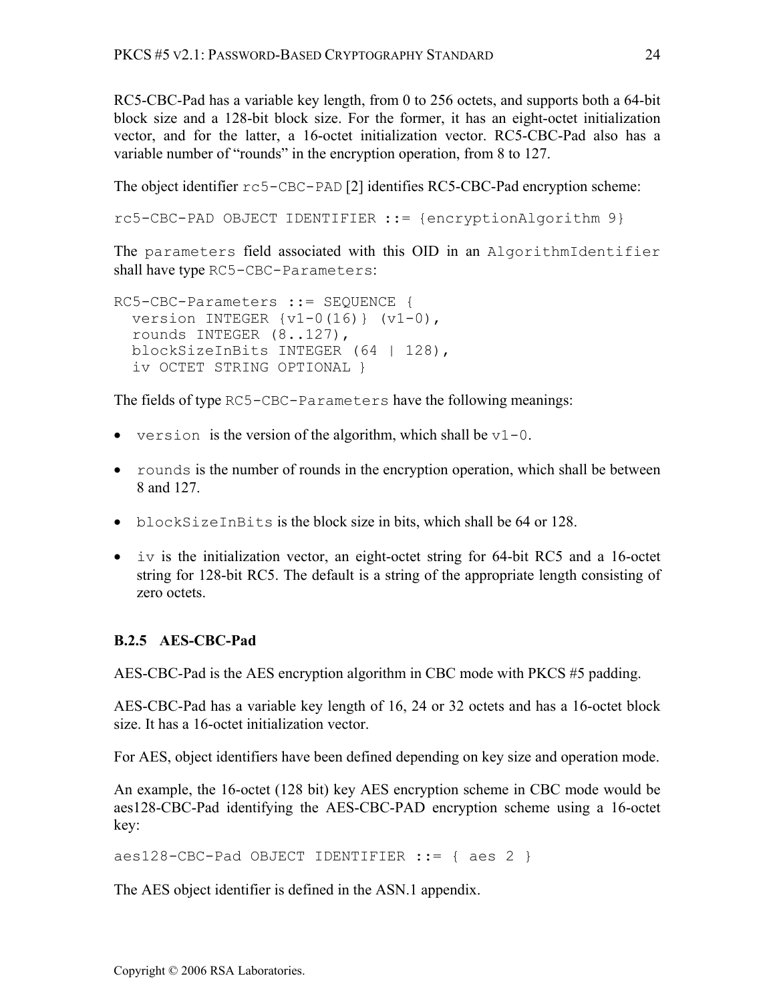RC5-CBC-Pad has a variable key length, from 0 to 256 octets, and supports both a 64-bit block size and a 128-bit block size. For the former, it has an eight-octet initialization vector, and for the latter, a 16-octet initialization vector. RC5-CBC-Pad also has a variable number of "rounds" in the encryption operation, from 8 to 127.

The object identifier rc5-CBC-PAD [2] identifies RC5-CBC-Pad encryption scheme:

```
rc5-CBC-PAD OBJECT IDENTIFIER ::= {encryptionAlgorithm 9}
```
The parameters field associated with this OID in an AlgorithmIdentifier shall have type RC5-CBC-Parameters:

```
RC5-CBC-Parameters ::= SEQUENCE { 
  version INTEGER \{v1-0(16)\} (v1-0),
   rounds INTEGER (8..127), 
  blockSizeInBits INTEGER (64 | 128), 
   iv OCTET STRING OPTIONAL }
```
The fields of type RC5-CBC-Parameters have the following meanings:

- version is the version of the algorithm, which shall be  $v1-0$ .
- rounds is the number of rounds in the encryption operation, which shall be between 8 and 127.
- blockSizeInBits is the block size in bits, which shall be 64 or 128.
- iv is the initialization vector, an eight-octet string for 64-bit RC5 and a 16-octet string for 128-bit RC5. The default is a string of the appropriate length consisting of zero octets.

# **B.2.5 AES-CBC-Pad**

AES-CBC-Pad is the AES encryption algorithm in CBC mode with PKCS #5 padding.

AES-CBC-Pad has a variable key length of 16, 24 or 32 octets and has a 16-octet block size. It has a 16-octet initialization vector.

For AES, object identifiers have been defined depending on key size and operation mode.

An example, the 16-octet (128 bit) key AES encryption scheme in CBC mode would be aes128-CBC-Pad identifying the AES-CBC-PAD encryption scheme using a 16-octet key:

```
aes128-CBC-Pad OBJECT IDENTIFIER ::= { aes 2 }
```
The AES object identifier is defined in the ASN.1 appendix.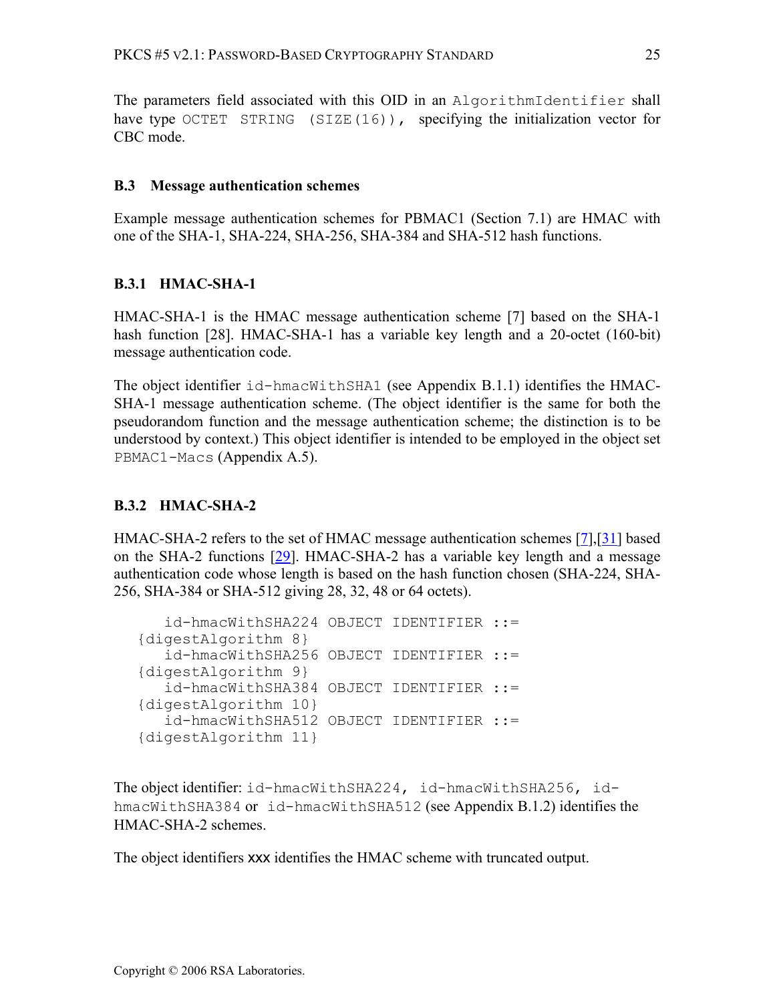The parameters field associated with this OID in an AlgorithmIdentifier shall have type OCTET STRING (SIZE(16)), specifying the initialization vector for CBC mode.

### **B.3 Message authentication schemes**

Example message authentication schemes for PBMAC1 (Section 7.1) are HMAC with one of the SHA-1, SHA-224, SHA-256, SHA-384 and SHA-512 hash functions.

# **B.3.1 HMAC-SHA-1**

HMAC-SHA-1 is the HMAC message authentication scheme [7] based on the SHA-1 hash function [28]. HMAC-SHA-1 has a variable key length and a 20-octet (160-bit) message authentication code.

The object identifier id-hmacWithSHA1 (see Appendix B.1.1) identifies the HMAC-SHA-1 message authentication scheme. (The object identifier is the same for both the pseudorandom function and the message authentication scheme; the distinction is to be understood by context.) This object identifier is intended to be employed in the object set PBMAC1-Macs (Appendix A.5).

# **B.3.2 HMAC-SHA-2**

HMAC-SHA-2 refers to the set of HMAC message authentication schemes [7],[31] based on the SHA-2 functions [29]. HMAC-SHA-2 has a variable key length and a message authentication code whose length is based on the hash function chosen (SHA-224, SHA-256, SHA-384 or SHA-512 giving 28, 32, 48 or 64 octets).

```
 id-hmacWithSHA224 OBJECT IDENTIFIER ::= 
{digestAlgorithm 8} 
    id-hmacWithSHA256 OBJECT IDENTIFIER ::= 
{digestAlgorithm 9} 
    id-hmacWithSHA384 OBJECT IDENTIFIER ::= 
{digestAlgorithm 10} 
    id-hmacWithSHA512 OBJECT IDENTIFIER ::= 
{digestAlgorithm 11}
```
The object identifier: id-hmacWithSHA224, id-hmacWithSHA256, idhmacWithSHA384 or id-hmacWithSHA512 (see Appendix B.1.2) identifies the HMAC-SHA-2 schemes.

The object identifiers xxx identifies the HMAC scheme with truncated output.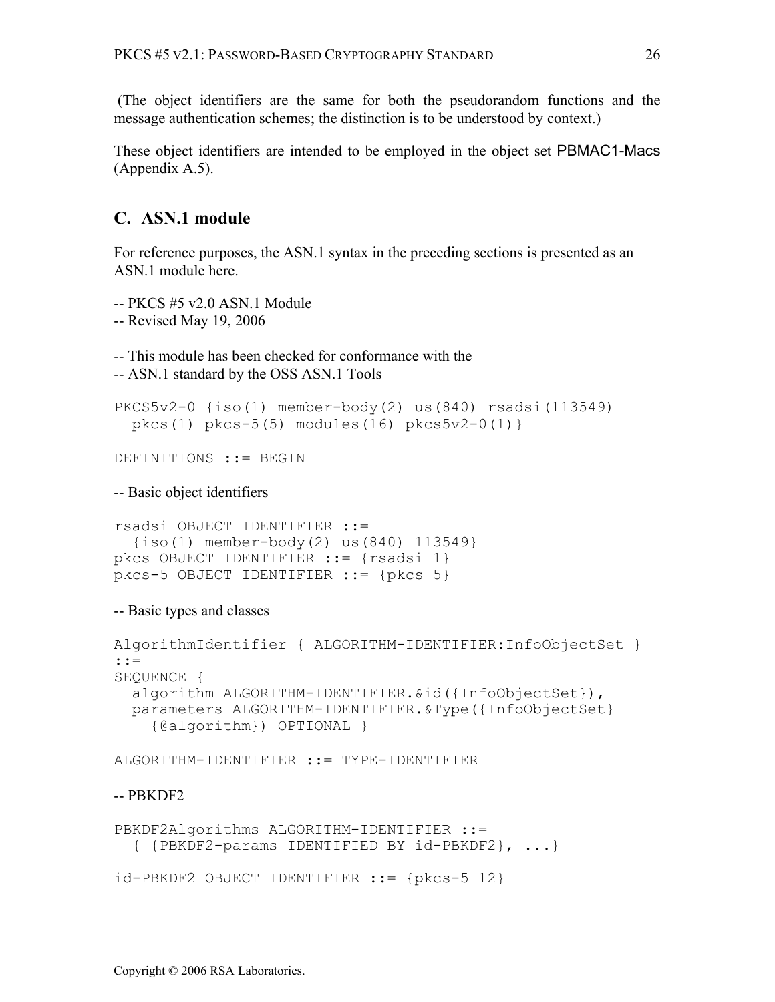(The object identifiers are the same for both the pseudorandom functions and the message authentication schemes; the distinction is to be understood by context.)

These object identifiers are intended to be employed in the object set PBMAC1-Macs (Appendix A.5).

# **C. ASN.1 module**

For reference purposes, the ASN.1 syntax in the preceding sections is presented as an ASN.1 module here.

-- PKCS #5 v2.0 ASN.1 Module

-- Revised May 19, 2006

-- This module has been checked for conformance with the

-- ASN.1 standard by the OSS ASN.1 Tools

```
PKCS5v2-0 {iso(1) member-body(2) us(840) rsadsi(113549) 
  pkcs(1) pkcs-5(5) modules(16) pkcs5v2-0(1)}
```
DEFINITIONS ::= BEGIN

-- Basic object identifiers

```
rsadsi OBJECT IDENTIFIER ::= 
   {iso(1) member-body(2) us(840) 113549} 
pkcs OBJECT IDENTIFIER ::= {rsadsi 1} 
pkcs-5 OBJECT IDENTIFIER ::= {pkcs 5}
```
-- Basic types and classes

```
AlgorithmIdentifier { ALGORITHM-IDENTIFIER:InfoObjectSet } 
::= 
SEOUENCE {
   algorithm ALGORITHM-IDENTIFIER.&id({InfoObjectSet}), 
   parameters ALGORITHM-IDENTIFIER.&Type({InfoObjectSet} 
     {@algorithm}) OPTIONAL }
```
ALGORITHM-IDENTIFIER ::= TYPE-IDENTIFIER

#### -- PBKDF2

```
PBKDF2Algorithms ALGORITHM-IDENTIFIER ::= 
   { {PBKDF2-params IDENTIFIED BY id-PBKDF2}, ...} 
id-PBKDF2 OBJECT IDENTIFIER ::= {pkcs-5 12}
```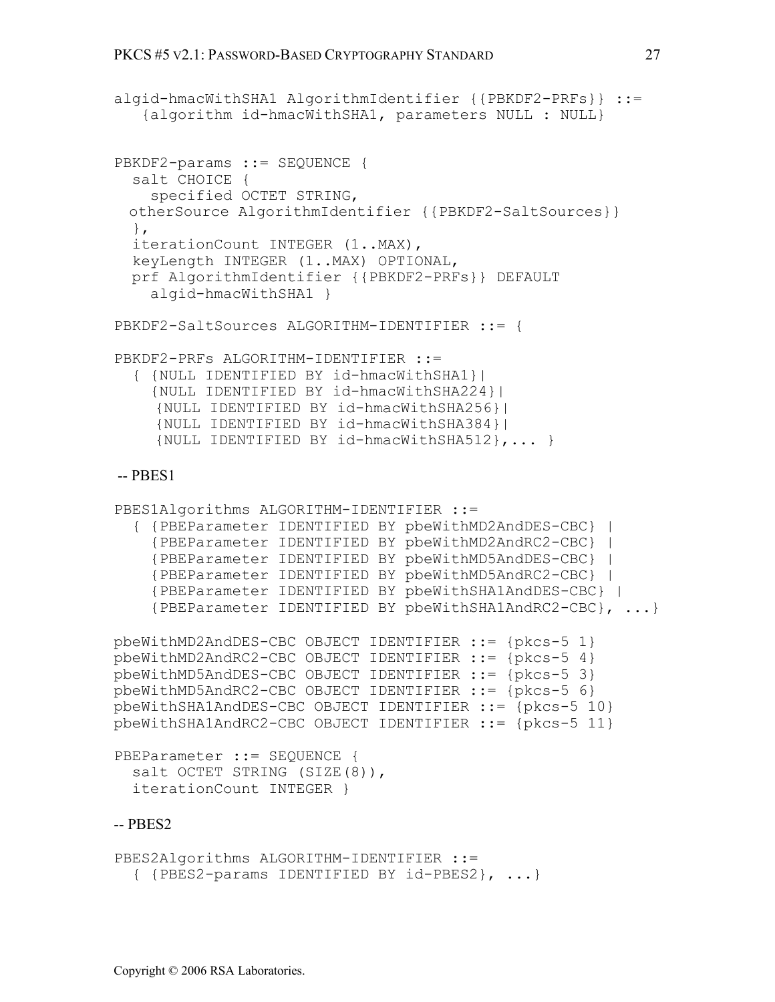```
algid-hmacWithSHA1 AlgorithmIdentifier {{PBKDF2-PRFs}} ::= 
    {algorithm id-hmacWithSHA1, parameters NULL : NULL} 
PBKDF2-params ::= SEOUENCE {
   salt CHOICE { 
     specified OCTET STRING,
  otherSource AlgorithmIdentifier {{PBKDF2-SaltSources}}
   }, 
   iterationCount INTEGER (1..MAX), 
   keyLength INTEGER (1..MAX) OPTIONAL, 
   prf AlgorithmIdentifier {{PBKDF2-PRFs}} DEFAULT 
     algid-hmacWithSHA1 } 
PBKDF2-SaltSources ALGORITHM-IDENTIFIER ::= { 
PBKDF2-PRFs ALGORITHM-IDENTIFIER ::= 
   { {NULL IDENTIFIED BY id-hmacWithSHA1}| 
     {NULL IDENTIFIED BY id-hmacWithSHA224}| 
     {NULL IDENTIFIED BY id-hmacWithSHA256}| 
     {NULL IDENTIFIED BY id-hmacWithSHA384}| 
      {NULL IDENTIFIED BY id-hmacWithSHA512},... } 
 -- PBES1 
PBES1Algorithms ALGORITHM-IDENTIFIER ::=
   { {PBEParameter IDENTIFIED BY pbeWithMD2AndDES-CBC} | 
     {PBEParameter IDENTIFIED BY pbeWithMD2AndRC2-CBC} | 
     {PBEParameter IDENTIFIED BY pbeWithMD5AndDES-CBC} | 
     {PBEParameter IDENTIFIED BY pbeWithMD5AndRC2-CBC} | 
     {PBEParameter IDENTIFIED BY pbeWithSHA1AndDES-CBC} | 
     {PBEParameter IDENTIFIED BY pbeWithSHA1AndRC2-CBC}, ...}
pbeWithMD2AndDES-CBC OBJECT IDENTIFIER ::= {pkcs-5 1} 
pbeWithMD2AndRC2-CBC OBJECT IDENTIFIER ::= {pkcs-5 4} 
pbeWithMD5AndDES-CBC OBJECT IDENTIFIER ::= {pkcs-5 3} 
pbeWithMD5AndRC2-CBC OBJECT IDENTIFIER ::= {pkcs-5 6} 
pbeWithSHA1AndDES-CBC OBJECT IDENTIFIER ::= {pkcs-5 10} 
pbeWithSHA1AndRC2-CBC OBJECT IDENTIFIER ::= {pkcs-5 11} 
PBEParameter ::= SEQUENCE {
  salt OCTET STRING (SIZE(8)),
   iterationCount INTEGER }
-- PBES2 
PBES2Algorithms ALGORITHM-IDENTIFIER ::=
```

```
 { {PBES2-params IDENTIFIED BY id-PBES2}, ...}
```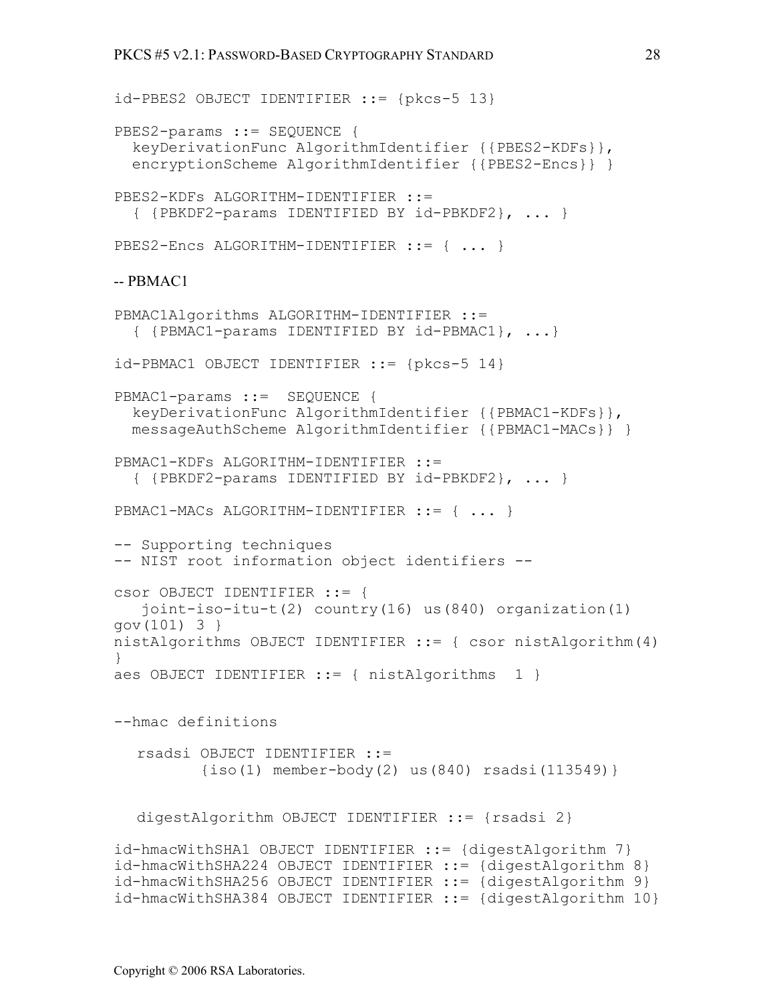```
id-PBES2 OBJECT IDENTIFIER ::= {pkcs-5 13} 
PBES2-params ::= SEQUENCE {
   keyDerivationFunc AlgorithmIdentifier {{PBES2-KDFs}}, 
   encryptionScheme AlgorithmIdentifier {{PBES2-Encs}} } 
PBES2-KDFs ALGORITHM-IDENTIFIER ::= 
   { {PBKDF2-params IDENTIFIED BY id-PBKDF2}, ... } 
PBES2-Encs ALGORITHM-IDENTIFIER ::= { ... }
-- PBMAC1 
PBMAC1Algorithms ALGORITHM-IDENTIFIER ::= 
   { {PBMAC1-params IDENTIFIED BY id-PBMAC1}, ...} 
id-PBMAC1 OBJECT IDENTIFIER ::= {pkcs-5 14} 
PBMAC1-params ::= SEQUENCE { 
   keyDerivationFunc AlgorithmIdentifier {{PBMAC1-KDFs}}, 
  messageAuthScheme AlgorithmIdentifier {{PBMAC1-MACs}} } 
PBMAC1-KDFs ALGORITHM-IDENTIFIER ::= 
   { {PBKDF2-params IDENTIFIED BY id-PBKDF2}, ... } 
PBMAC1-MACs ALGORITHM-IDENTIFIER ::= { ... }
-- Supporting techniques 
-- NIST root information object identifiers -- 
csor OBJECT IDENTIFIER ::= { 
    joint-iso-itu-t(2) country(16) us(840) organization(1) 
gov(101) 3 } 
nistAlgorithms OBJECT IDENTIFIER ::= { csor nistAlgorithm(4) 
} 
aes OBJECT IDENTIFIER : = { nistAlgorithms 1 }
--hmac definitions 
  rsadsi OBJECT IDENTIFIER ::= 
           {iso(1) member-body(2) us(840) rsadsi(113549)} 
  digestAlgorithm OBJECT IDENTIFIER ::= {rsadsi 2} 
id-hmacWithSHA1 OBJECT IDENTIFIER ::= {digestAlgorithm 7} 
id-hmacWithSHA224 OBJECT IDENTIFIER ::= {digestAlgorithm 8} 
id-hmacWithSHA256 OBJECT IDENTIFIER ::= {digestAlgorithm 9} 
id-hmacWithSHA384 OBJECT IDENTIFIER ::= {digestAlgorithm 10}
```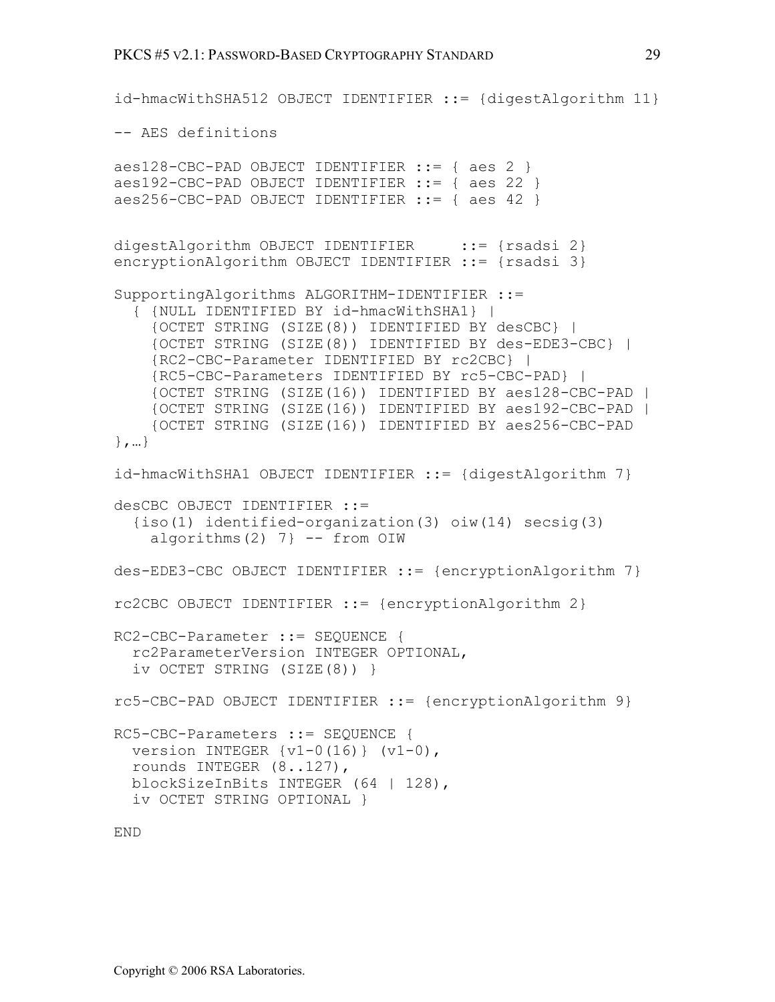```
id-hmacWithSHA512 OBJECT IDENTIFIER ::= {digestAlgorithm 11} 
-- AES definitions 
aes128-CBC-PAD OBJECT IDENTIFIER ::= { aes 2 } 
aes192-CBC-PAD OBJECT IDENTIFIER ::= { aes 22 } 
aes256-CBC-PAD OBJECT IDENTIFIER ::= { aes 42 } 
digestAlgorithm OBJECT IDENTIFIER ::= {rsadsi 2}
encryptionAlgorithm OBJECT IDENTIFIER ::= {rsadsi 3} 
SupportingAlgorithms ALGORITHM-IDENTIFIER ::= 
   { {NULL IDENTIFIED BY id-hmacWithSHA1} | 
     {OCTET STRING (SIZE(8)) IDENTIFIED BY desCBC} | 
     {OCTET STRING (SIZE(8)) IDENTIFIED BY des-EDE3-CBC} | 
     {RC2-CBC-Parameter IDENTIFIED BY rc2CBC} | 
     {RC5-CBC-Parameters IDENTIFIED BY rc5-CBC-PAD} | 
     {OCTET STRING (SIZE(16)) IDENTIFIED BY aes128-CBC-PAD | 
     {OCTET STRING (SIZE(16)) IDENTIFIED BY aes192-CBC-PAD | 
     {OCTET STRING (SIZE(16)) IDENTIFIED BY aes256-CBC-PAD 
},…} 
id-hmacWithSHA1 OBJECT IDENTIFIER ::= {digestAlgorithm 7} 
desCBC OBJECT IDENTIFIER ::= 
   {iso(1) identified-organization(3) oiw(14) secsig(3) 
    algorithms(2) 7} -- from OIW
des-EDE3-CBC OBJECT IDENTIFIER ::= {encryptionAlgorithm 7} 
rc2CBC OBJECT IDENTIFIER ::= {encryptionAlgorithm 2} 
RC2-CBC-Parameter ::= SEQUENCE { 
   rc2ParameterVersion INTEGER OPTIONAL, 
   iv OCTET STRING (SIZE(8)) } 
rc5-CBC-PAD OBJECT IDENTIFIER ::= {encryptionAlgorithm 9} 
RC5-CBC-Parameters ::= SEQUENCE { 
  version INTEGER \{v1-0(16)\} (v1-0),
   rounds INTEGER (8..127), 
  blockSizeInBits INTEGER (64 | 128), 
   iv OCTET STRING OPTIONAL }
```
END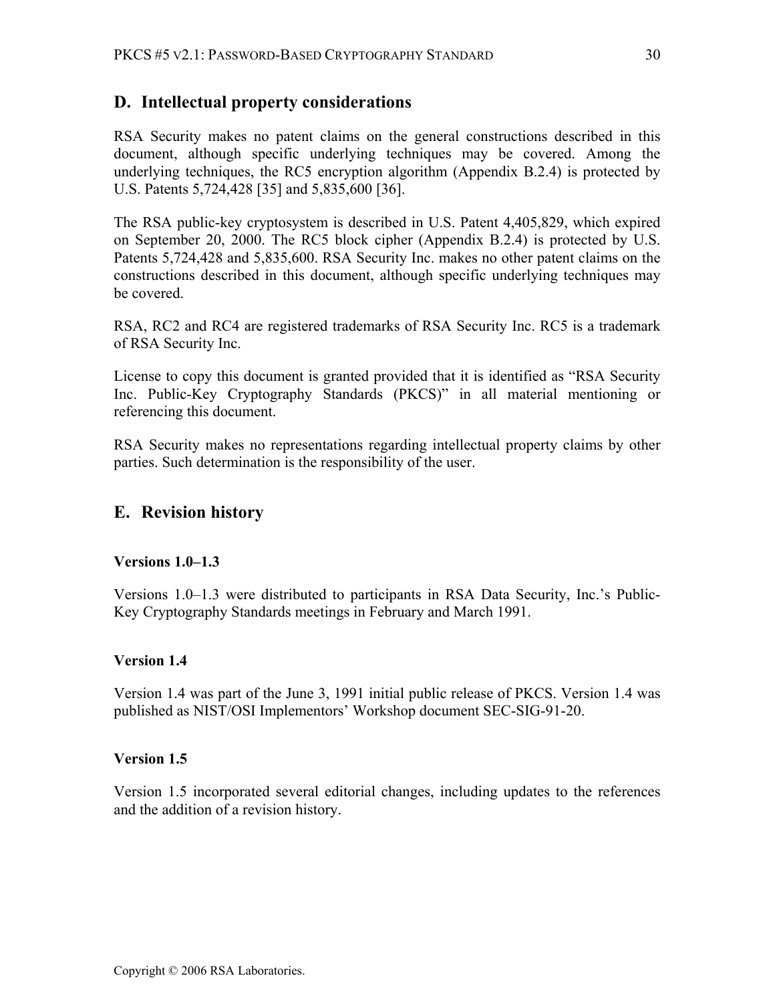# **D. Intellectual property considerations**

RSA Security makes no patent claims on the general constructions described in this document, although specific underlying techniques may be covered. Among the underlying techniques, the RC5 encryption algorithm (Appendix B.2.4) is protected by U.S. Patents 5,724,428 [35] and 5,835,600 [36].

The RSA public-key cryptosystem is described in U.S. Patent 4,405,829, which expired on September 20, 2000. The RC5 block cipher (Appendix B.2.4) is protected by U.S. Patents 5,724,428 and 5,835,600. RSA Security Inc. makes no other patent claims on the constructions described in this document, although specific underlying techniques may be covered.

RSA, RC2 and RC4 are registered trademarks of RSA Security Inc. RC5 is a trademark of RSA Security Inc.

License to copy this document is granted provided that it is identified as "RSA Security Inc. Public-Key Cryptography Standards (PKCS)" in all material mentioning or referencing this document.

RSA Security makes no representations regarding intellectual property claims by other parties. Such determination is the responsibility of the user.

# **E. Revision history**

### **Versions 1.0–1.3**

Versions 1.0–1.3 were distributed to participants in RSA Data Security, Inc.'s Public-Key Cryptography Standards meetings in February and March 1991.

### **Version 1.4**

Version 1.4 was part of the June 3, 1991 initial public release of PKCS. Version 1.4 was published as NIST/OSI Implementors' Workshop document SEC-SIG-91-20.

### **Version 1.5**

Version 1.5 incorporated several editorial changes, including updates to the references and the addition of a revision history.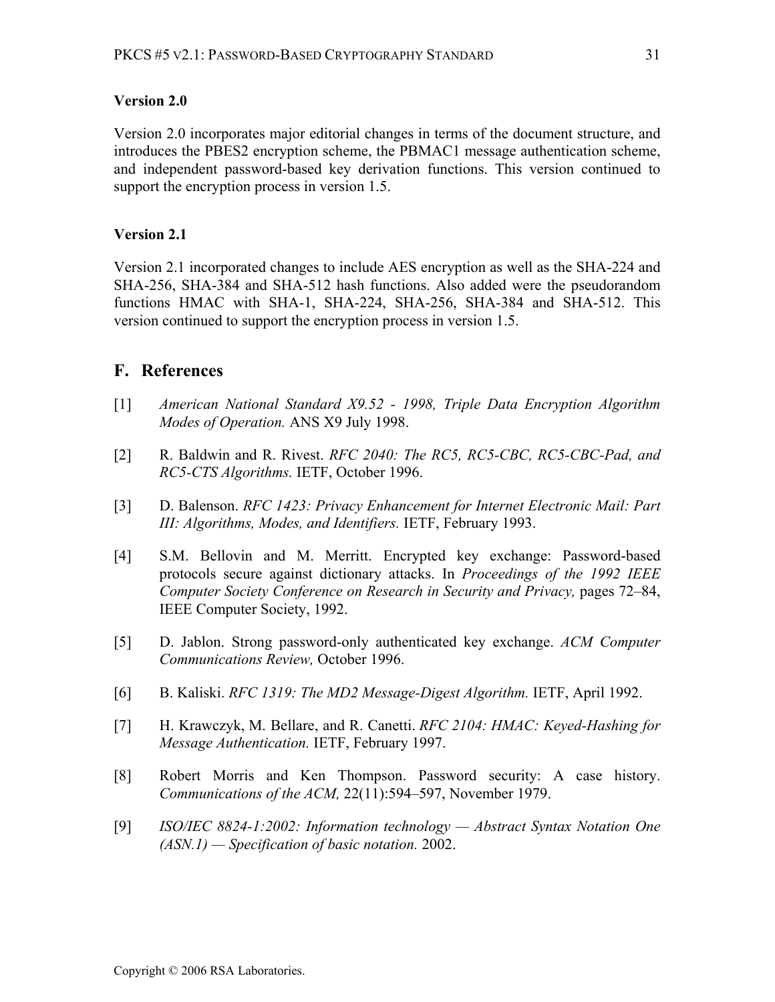#### **Version 2.0**

Version 2.0 incorporates major editorial changes in terms of the document structure, and introduces the PBES2 encryption scheme, the PBMAC1 message authentication scheme, and independent password-based key derivation functions. This version continued to support the encryption process in version 1.5.

#### **Version 2.1**

Version 2.1 incorporated changes to include AES encryption as well as the SHA-224 and SHA-256, SHA-384 and SHA-512 hash functions. Also added were the pseudorandom functions HMAC with SHA-1, SHA-224, SHA-256, SHA-384 and SHA-512. This version continued to support the encryption process in version 1.5.

# **F. References**

- [1] *American National Standard X9.52 1998, Triple Data Encryption Algorithm Modes of Operation.* ANS X9 July 1998.
- [2] R. Baldwin and R. Rivest. *RFC 2040: The RC5, RC5-CBC, RC5-CBC-Pad, and RC5-CTS Algorithms.* IETF, October 1996.
- [3] D. Balenson. *RFC 1423: Privacy Enhancement for Internet Electronic Mail: Part III: Algorithms, Modes, and Identifiers.* IETF, February 1993.
- [4] S.M. Bellovin and M. Merritt. Encrypted key exchange: Password-based protocols secure against dictionary attacks. In *Proceedings of the 1992 IEEE Computer Society Conference on Research in Security and Privacy,* pages 72–84, IEEE Computer Society, 1992.
- [5] D. Jablon. Strong password-only authenticated key exchange. *ACM Computer Communications Review,* October 1996.
- [6] B. Kaliski. *RFC 1319: The MD2 Message-Digest Algorithm.* IETF, April 1992.
- [7] H. Krawczyk, M. Bellare, and R. Canetti. *RFC 2104: HMAC: Keyed-Hashing for Message Authentication.* IETF, February 1997.
- [8] Robert Morris and Ken Thompson. Password security: A case history. *Communications of the ACM,* 22(11):594–597, November 1979.
- [9] *ISO/IEC 8824-1:2002: Information technology Abstract Syntax Notation One (ASN.1) — Specification of basic notation.* 2002.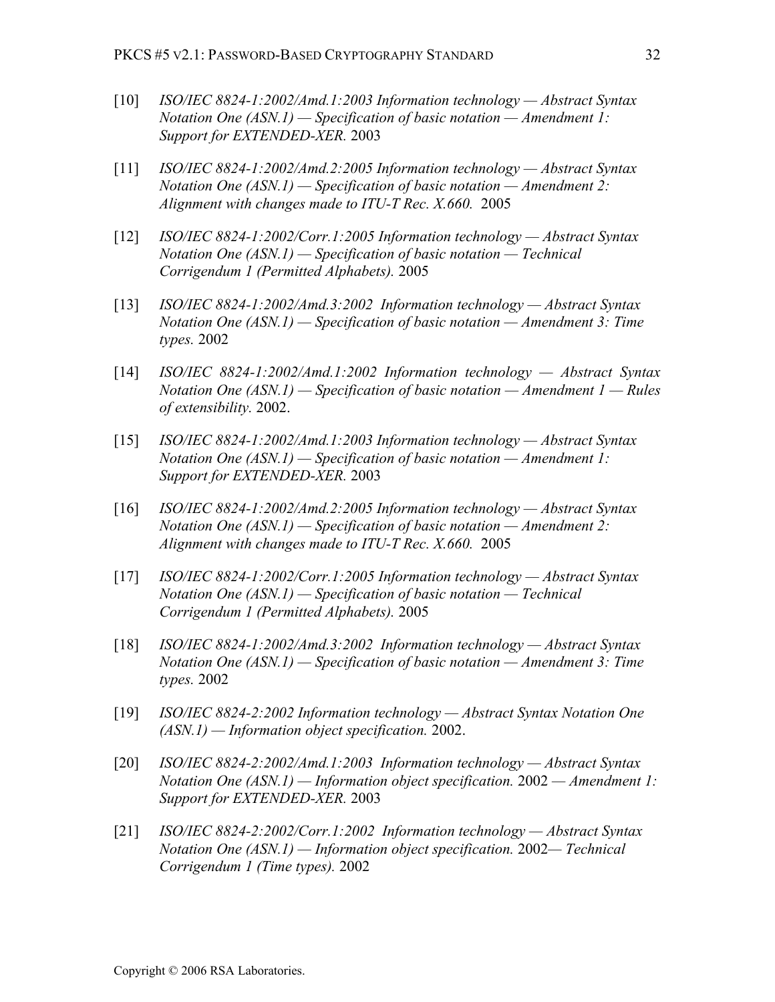- [10] *ISO/IEC 8824-1:2002/Amd.1:2003 Information technology Abstract Syntax Notation One (ASN.1) — Specification of basic notation — Amendment 1: Support for EXTENDED-XER.* 2003
- [11] *ISO/IEC 8824-1:2002/Amd.2:2005 Information technology Abstract Syntax Notation One (ASN.1) — Specification of basic notation — Amendment 2: Alignment with changes made to ITU-T Rec. X.660.* 2005
- [12] *ISO/IEC 8824-1:2002/Corr.1:2005 Information technology Abstract Syntax Notation One (ASN.1) — Specification of basic notation — Technical Corrigendum 1 (Permitted Alphabets).* 2005
- [13] *ISO/IEC 8824-1:2002/Amd.3:2002 Information technology Abstract Syntax Notation One (ASN.1) — Specification of basic notation — Amendment 3: Time types.* 2002
- [14] *ISO/IEC 8824-1:2002/Amd.1:2002 Information technology Abstract Syntax Notation One (ASN.1) — Specification of basic notation — Amendment 1 — Rules of extensibility.* 2002.
- [15] *ISO/IEC 8824-1:2002/Amd.1:2003 Information technology Abstract Syntax Notation One (ASN.1) — Specification of basic notation — Amendment 1: Support for EXTENDED-XER.* 2003
- [16] *ISO/IEC 8824-1:2002/Amd.2:2005 Information technology Abstract Syntax Notation One (ASN.1) — Specification of basic notation — Amendment 2: Alignment with changes made to ITU-T Rec. X.660.* 2005
- [17] *ISO/IEC 8824-1:2002/Corr.1:2005 Information technology Abstract Syntax Notation One (ASN.1) — Specification of basic notation — Technical Corrigendum 1 (Permitted Alphabets).* 2005
- [18] *ISO/IEC 8824-1:2002/Amd.3:2002 Information technology Abstract Syntax Notation One (ASN.1) — Specification of basic notation — Amendment 3: Time types.* 2002
- [19] *ISO/IEC 8824-2:2002 Information technology Abstract Syntax Notation One (ASN.1) — Information object specification.* 2002.
- [20] *ISO/IEC 8824-2:2002/Amd.1:2003 Information technology Abstract Syntax Notation One (ASN.1) — Information object specification.* 2002 *— Amendment 1: Support for EXTENDED-XER.* 2003
- [21] *ISO/IEC 8824-2:2002/Corr.1:2002 Information technology Abstract Syntax Notation One (ASN.1) — Information object specification.* 2002*— Technical Corrigendum 1 (Time types).* 2002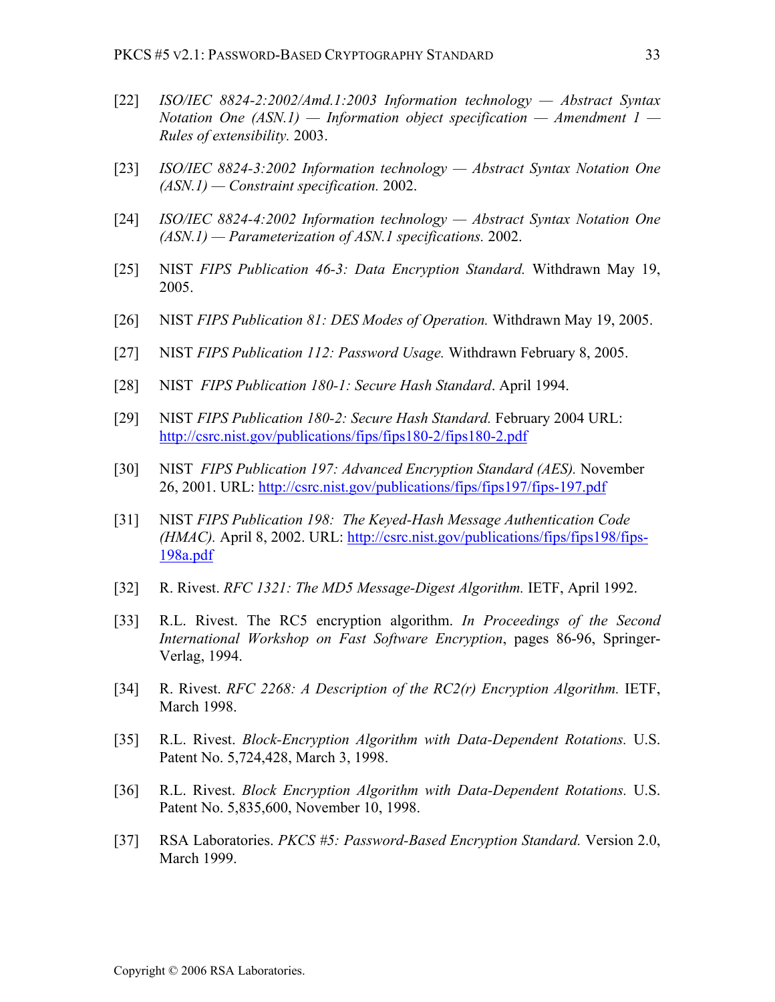- [22] *ISO/IEC 8824-2:2002/Amd.1:2003 Information technology Abstract Syntax Notation One (ASN.1) — Information object specification — Amendment 1 — Rules of extensibility.* 2003.
- [23] *ISO/IEC 8824-3:2002 Information technology Abstract Syntax Notation One (ASN.1) — Constraint specification.* 2002.
- [24] *ISO/IEC 8824-4:2002 Information technology Abstract Syntax Notation One (ASN.1) — Parameterization of ASN.1 specifications.* 2002.
- [25] NIST *FIPS Publication 46-3: Data Encryption Standard.* Withdrawn May 19, 2005.
- [26] NIST *FIPS Publication 81: DES Modes of Operation.* Withdrawn May 19, 2005.
- [27] NIST *FIPS Publication 112: Password Usage.* Withdrawn February 8, 2005.
- [28] NIST *FIPS Publication 180-1: Secure Hash Standard*. April 1994.
- [29] NIST *FIPS Publication 180-2: Secure Hash Standard.* February 2004 URL: http://csrc.nist.gov/publications/fips/fips180-2/fips180-2.pdf
- [30] NIST *FIPS Publication 197: Advanced Encryption Standard (AES).* November 26, 2001. URL: http://csrc.nist.gov/publications/fips/fips197/fips-197.pdf
- [31] NIST *FIPS Publication 198: The Keyed-Hash Message Authentication Code (HMAC).* April 8, 2002. URL: http://csrc.nist.gov/publications/fips/fips198/fips-198a.pdf
- [32] R. Rivest. *RFC 1321: The MD5 Message-Digest Algorithm.* IETF, April 1992.
- [33] R.L. Rivest. The RC5 encryption algorithm. *In Proceedings of the Second International Workshop on Fast Software Encryption*, pages 86-96, Springer-Verlag, 1994.
- [34] R. Rivest. *RFC 2268: A Description of the RC2(r) Encryption Algorithm.* IETF, March 1998.
- [35] R.L. Rivest. *Block-Encryption Algorithm with Data-Dependent Rotations.* U.S. Patent No. 5,724,428, March 3, 1998.
- [36] R.L. Rivest. *Block Encryption Algorithm with Data-Dependent Rotations.* U.S. Patent No. 5,835,600, November 10, 1998.
- [37] RSA Laboratories. *PKCS #5: Password-Based Encryption Standard.* Version 2.0, March 1999.